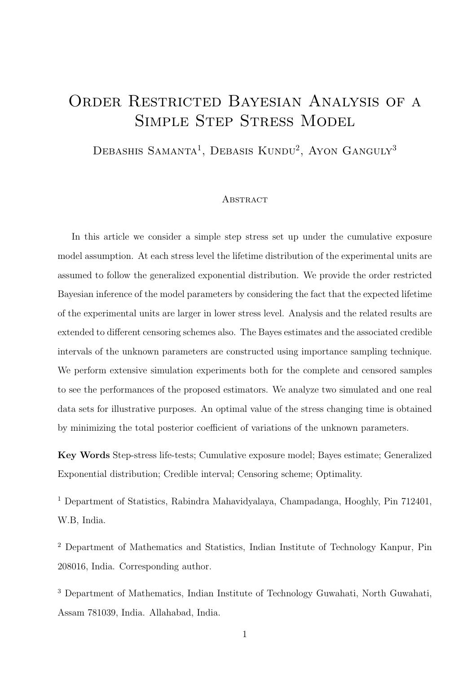## ORDER RESTRICTED BAYESIAN ANALYSIS OF A SIMPLE STEP STRESS MODEL

DEBASHIS SAMANTA<sup>1</sup>, DEBASIS KUNDU<sup>2</sup>, AYON GANGULY<sup>3</sup>

#### **ABSTRACT**

In this article we consider a simple step stress set up under the cumulative exposure model assumption. At each stress level the lifetime distribution of the experimental units are assumed to follow the generalized exponential distribution. We provide the order restricted Bayesian inference of the model parameters by considering the fact that the expected lifetime of the experimental units are larger in lower stress level. Analysis and the related results are extended to different censoring schemes also. The Bayes estimates and the associated credible intervals of the unknown parameters are constructed using importance sampling technique. We perform extensive simulation experiments both for the complete and censored samples to see the performances of the proposed estimators. We analyze two simulated and one real data sets for illustrative purposes. An optimal value of the stress changing time is obtained by minimizing the total posterior coefficient of variations of the unknown parameters.

Key Words Step-stress life-tests; Cumulative exposure model; Bayes estimate; Generalized Exponential distribution; Credible interval; Censoring scheme; Optimality.

<sup>1</sup> Department of Statistics, Rabindra Mahavidyalaya, Champadanga, Hooghly, Pin 712401, W.B, India.

<sup>2</sup> Department of Mathematics and Statistics, Indian Institute of Technology Kanpur, Pin 208016, India. Corresponding author.

<sup>3</sup> Department of Mathematics, Indian Institute of Technology Guwahati, North Guwahati, Assam 781039, India. Allahabad, India.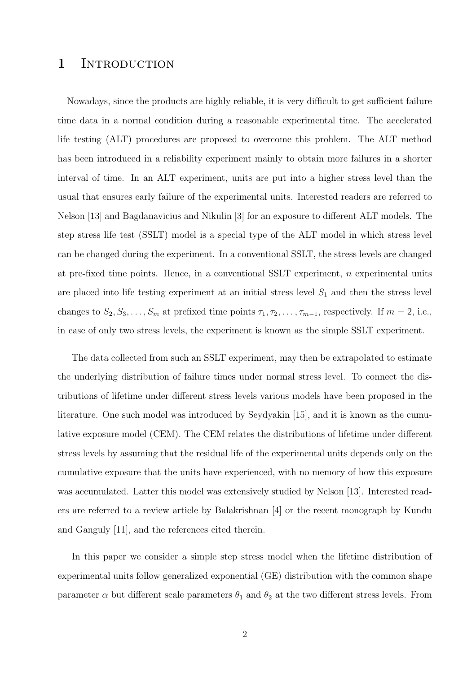## 1 INTRODUCTION

Nowadays, since the products are highly reliable, it is very difficult to get sufficient failure time data in a normal condition during a reasonable experimental time. The accelerated life testing (ALT) procedures are proposed to overcome this problem. The ALT method has been introduced in a reliability experiment mainly to obtain more failures in a shorter interval of time. In an ALT experiment, units are put into a higher stress level than the usual that ensures early failure of the experimental units. Interested readers are referred to Nelson [13] and Bagdanavicius and Nikulin [3] for an exposure to different ALT models. The step stress life test (SSLT) model is a special type of the ALT model in which stress level can be changed during the experiment. In a conventional SSLT, the stress levels are changed at pre-fixed time points. Hence, in a conventional SSLT experiment,  $n$  experimental units are placed into life testing experiment at an initial stress level  $S_1$  and then the stress level changes to  $S_2, S_3, \ldots, S_m$  at prefixed time points  $\tau_1, \tau_2, \ldots, \tau_{m-1}$ , respectively. If  $m = 2$ , i.e., in case of only two stress levels, the experiment is known as the simple SSLT experiment.

The data collected from such an SSLT experiment, may then be extrapolated to estimate the underlying distribution of failure times under normal stress level. To connect the distributions of lifetime under different stress levels various models have been proposed in the literature. One such model was introduced by Seydyakin [15], and it is known as the cumulative exposure model (CEM). The CEM relates the distributions of lifetime under different stress levels by assuming that the residual life of the experimental units depends only on the cumulative exposure that the units have experienced, with no memory of how this exposure was accumulated. Latter this model was extensively studied by Nelson [13]. Interested readers are referred to a review article by Balakrishnan [4] or the recent monograph by Kundu and Ganguly [11], and the references cited therein.

In this paper we consider a simple step stress model when the lifetime distribution of experimental units follow generalized exponential (GE) distribution with the common shape parameter  $\alpha$  but different scale parameters  $\theta_1$  and  $\theta_2$  at the two different stress levels. From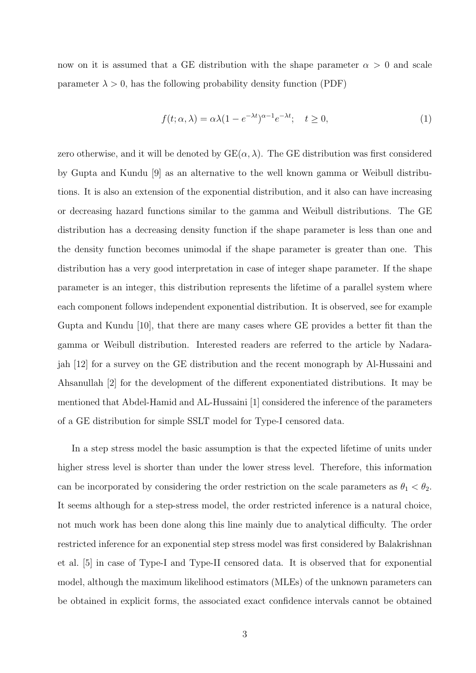now on it is assumed that a GE distribution with the shape parameter  $\alpha > 0$  and scale parameter  $\lambda > 0$ , has the following probability density function (PDF)

$$
f(t; \alpha, \lambda) = \alpha \lambda (1 - e^{-\lambda t})^{\alpha - 1} e^{-\lambda t}; \quad t \ge 0,
$$
\n<sup>(1)</sup>

zero otherwise, and it will be denoted by  $GE(\alpha, \lambda)$ . The GE distribution was first considered by Gupta and Kundu [9] as an alternative to the well known gamma or Weibull distributions. It is also an extension of the exponential distribution, and it also can have increasing or decreasing hazard functions similar to the gamma and Weibull distributions. The GE distribution has a decreasing density function if the shape parameter is less than one and the density function becomes unimodal if the shape parameter is greater than one. This distribution has a very good interpretation in case of integer shape parameter. If the shape parameter is an integer, this distribution represents the lifetime of a parallel system where each component follows independent exponential distribution. It is observed, see for example Gupta and Kundu [10], that there are many cases where GE provides a better fit than the gamma or Weibull distribution. Interested readers are referred to the article by Nadarajah [12] for a survey on the GE distribution and the recent monograph by Al-Hussaini and Ahsanullah [2] for the development of the different exponentiated distributions. It may be mentioned that Abdel-Hamid and AL-Hussaini [1] considered the inference of the parameters of a GE distribution for simple SSLT model for Type-I censored data.

In a step stress model the basic assumption is that the expected lifetime of units under higher stress level is shorter than under the lower stress level. Therefore, this information can be incorporated by considering the order restriction on the scale parameters as  $\theta_1 < \theta_2$ . It seems although for a step-stress model, the order restricted inference is a natural choice, not much work has been done along this line mainly due to analytical difficulty. The order restricted inference for an exponential step stress model was first considered by Balakrishnan et al. [5] in case of Type-I and Type-II censored data. It is observed that for exponential model, although the maximum likelihood estimators (MLEs) of the unknown parameters can be obtained in explicit forms, the associated exact confidence intervals cannot be obtained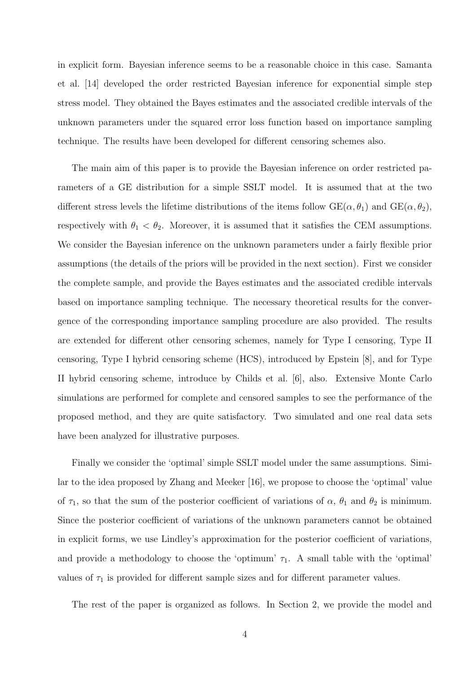in explicit form. Bayesian inference seems to be a reasonable choice in this case. Samanta et al. [14] developed the order restricted Bayesian inference for exponential simple step stress model. They obtained the Bayes estimates and the associated credible intervals of the unknown parameters under the squared error loss function based on importance sampling technique. The results have been developed for different censoring schemes also.

The main aim of this paper is to provide the Bayesian inference on order restricted parameters of a GE distribution for a simple SSLT model. It is assumed that at the two different stress levels the lifetime distributions of the items follow  $GE(\alpha, \theta_1)$  and  $GE(\alpha, \theta_2)$ , respectively with  $\theta_1 < \theta_2$ . Moreover, it is assumed that it satisfies the CEM assumptions. We consider the Bayesian inference on the unknown parameters under a fairly flexible prior assumptions (the details of the priors will be provided in the next section). First we consider the complete sample, and provide the Bayes estimates and the associated credible intervals based on importance sampling technique. The necessary theoretical results for the convergence of the corresponding importance sampling procedure are also provided. The results are extended for different other censoring schemes, namely for Type I censoring, Type II censoring, Type I hybrid censoring scheme (HCS), introduced by Epstein [8], and for Type II hybrid censoring scheme, introduce by Childs et al. [6], also. Extensive Monte Carlo simulations are performed for complete and censored samples to see the performance of the proposed method, and they are quite satisfactory. Two simulated and one real data sets have been analyzed for illustrative purposes.

Finally we consider the 'optimal' simple SSLT model under the same assumptions. Similar to the idea proposed by Zhang and Meeker [16], we propose to choose the 'optimal' value of  $\tau_1$ , so that the sum of the posterior coefficient of variations of  $\alpha$ ,  $\theta_1$  and  $\theta_2$  is minimum. Since the posterior coefficient of variations of the unknown parameters cannot be obtained in explicit forms, we use Lindley's approximation for the posterior coefficient of variations, and provide a methodology to choose the 'optimum'  $\tau_1$ . A small table with the 'optimal' values of  $\tau_1$  is provided for different sample sizes and for different parameter values.

The rest of the paper is organized as follows. In Section 2, we provide the model and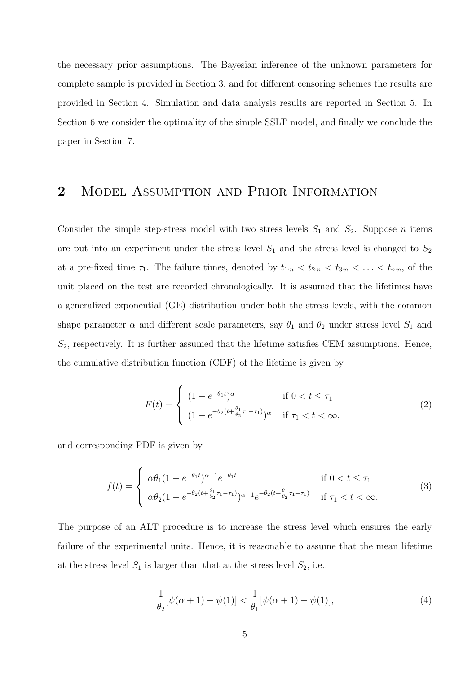the necessary prior assumptions. The Bayesian inference of the unknown parameters for complete sample is provided in Section 3, and for different censoring schemes the results are provided in Section 4. Simulation and data analysis results are reported in Section 5. In Section 6 we consider the optimality of the simple SSLT model, and finally we conclude the paper in Section 7.

## 2 Model Assumption and Prior Information

Consider the simple step-stress model with two stress levels  $S_1$  and  $S_2$ . Suppose n items are put into an experiment under the stress level  $S_1$  and the stress level is changed to  $S_2$ at a pre-fixed time  $\tau_1$ . The failure times, denoted by  $t_{1:n} < t_{2:n} < t_{3:n} < \ldots < t_{n:n}$ , of the unit placed on the test are recorded chronologically. It is assumed that the lifetimes have a generalized exponential (GE) distribution under both the stress levels, with the common shape parameter  $\alpha$  and different scale parameters, say  $\theta_1$  and  $\theta_2$  under stress level  $S_1$  and  $S_2$ , respectively. It is further assumed that the lifetime satisfies CEM assumptions. Hence, the cumulative distribution function (CDF) of the lifetime is given by

$$
F(t) = \begin{cases} (1 - e^{-\theta_1 t})^{\alpha} & \text{if } 0 < t \le \tau_1 \\ (1 - e^{-\theta_2 (t + \frac{\theta_1}{\theta_2} \tau_1 - \tau_1)})^{\alpha} & \text{if } \tau_1 < t < \infty, \end{cases}
$$
 (2)

and corresponding PDF is given by

$$
f(t) = \begin{cases} \alpha \theta_1 (1 - e^{-\theta_1 t})^{\alpha - 1} e^{-\theta_1 t} & \text{if } 0 < t \le \tau_1 \\ \alpha \theta_2 (1 - e^{-\theta_2 (t + \frac{\theta_1}{\theta_2} \tau_1 - \tau_1)})^{\alpha - 1} e^{-\theta_2 (t + \frac{\theta_1}{\theta_2} \tau_1 - \tau_1)} & \text{if } \tau_1 < t < \infty. \end{cases}
$$
(3)

The purpose of an ALT procedure is to increase the stress level which ensures the early failure of the experimental units. Hence, it is reasonable to assume that the mean lifetime at the stress level  $S_1$  is larger than that at the stress level  $S_2$ , i.e.,

$$
\frac{1}{\theta_2}[\psi(\alpha+1) - \psi(1)] < \frac{1}{\theta_1}[\psi(\alpha+1) - \psi(1)],\tag{4}
$$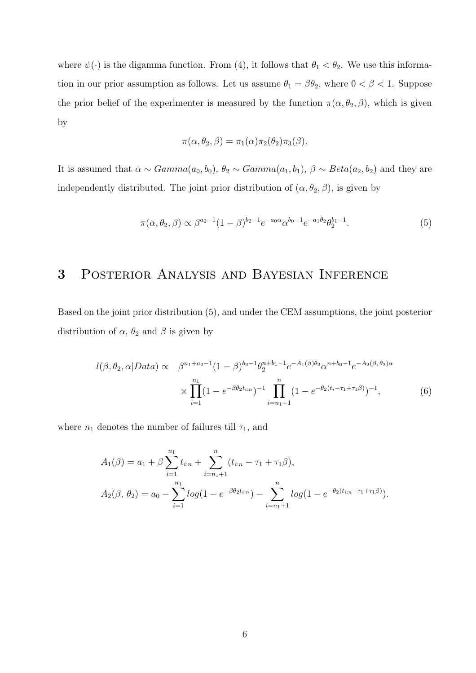where  $\psi(\cdot)$  is the digamma function. From (4), it follows that  $\theta_1 < \theta_2$ . We use this information in our prior assumption as follows. Let us assume  $\theta_1 = \beta \theta_2$ , where  $0 < \beta < 1$ . Suppose the prior belief of the experimenter is measured by the function  $\pi(\alpha, \theta_2, \beta)$ , which is given by

$$
\pi(\alpha,\theta_2,\beta)=\pi_1(\alpha)\pi_2(\theta_2)\pi_3(\beta).
$$

It is assumed that  $\alpha \sim Gamma(a_0, b_0), \theta_2 \sim Gamma(a_1, b_1), \beta \sim Beta(a_2, b_2)$  and they are independently distributed. The joint prior distribution of  $(\alpha, \theta_2, \beta)$ , is given by

$$
\pi(\alpha, \theta_2, \beta) \propto \beta^{a_2 - 1} (1 - \beta)^{b_2 - 1} e^{-a_0 \alpha} \alpha^{b_0 - 1} e^{-a_1 \theta_2} \theta_2^{b_1 - 1}.
$$
\n(5)

## 3 Posterior Analysis and Bayesian Inference

Based on the joint prior distribution (5), and under the CEM assumptions, the joint posterior distribution of  $\alpha$ ,  $\theta_2$  and  $\beta$  is given by

$$
l(\beta, \theta_2, \alpha | Data) \propto \beta^{n_1 + a_2 - 1} (1 - \beta)^{b_2 - 1} \theta_2^{n_1 + b_1 - 1} e^{-A_1(\beta)\theta_2} \alpha^{n + b_0 - 1} e^{-A_2(\beta, \theta_2)\alpha}
$$

$$
\times \prod_{i=1}^{n_1} (1 - e^{-\beta \theta_2 t_{i:n}})^{-1} \prod_{i=n_1+1}^{n_1} (1 - e^{-\theta_2 (t_i - \tau_1 + \tau_1 \beta)})^{-1}, \tag{6}
$$

where  $n_1$  denotes the number of failures till  $\tau_1$ , and

$$
A_1(\beta) = a_1 + \beta \sum_{i=1}^{n_1} t_{i:n} + \sum_{i=n_1+1}^{n_1} (t_{i:n} - \tau_1 + \tau_1 \beta),
$$
  
\n
$$
A_2(\beta, \theta_2) = a_0 - \sum_{i=1}^{n_1} \log(1 - e^{-\beta \theta_2 t_{i:n}}) - \sum_{i=n_1+1}^{n_1} \log(1 - e^{-\theta_2 (t_{i:n} - \tau_1 + \tau_1 \beta)}).
$$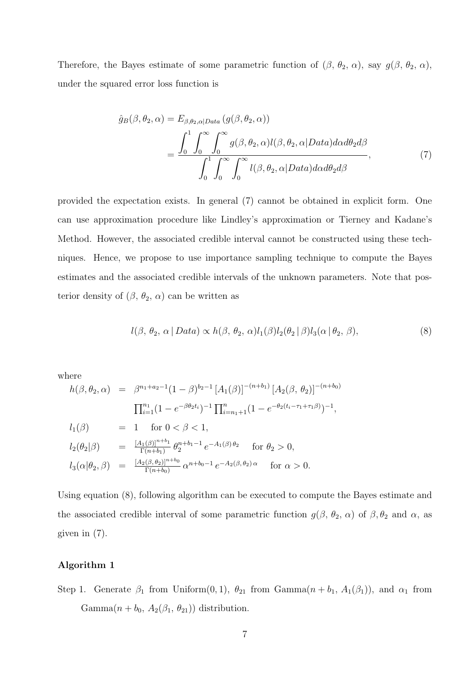Therefore, the Bayes estimate of some parametric function of  $(\beta, \theta_2, \alpha)$ , say  $g(\beta, \theta_2, \alpha)$ , under the squared error loss function is

$$
\hat{g}_{B}(\beta,\theta_{2},\alpha) = E_{\beta,\theta_{2},\alpha|Data} (g(\beta,\theta_{2},\alpha))
$$

$$
= \frac{\int_{0}^{1} \int_{0}^{\infty} \int_{0}^{\infty} g(\beta,\theta_{2},\alpha) l(\beta,\theta_{2},\alpha|Data) d\alpha d\theta_{2} d\beta}{\int_{0}^{1} \int_{0}^{\infty} \int_{0}^{\infty} l(\beta,\theta_{2},\alpha|Data) d\alpha d\theta_{2} d\beta},
$$
\n(7)

provided the expectation exists. In general (7) cannot be obtained in explicit form. One can use approximation procedure like Lindley's approximation or Tierney and Kadane's Method. However, the associated credible interval cannot be constructed using these techniques. Hence, we propose to use importance sampling technique to compute the Bayes estimates and the associated credible intervals of the unknown parameters. Note that posterior density of  $(\beta, \theta_2, \alpha)$  can be written as

$$
l(\beta, \theta_2, \alpha \mid Data) \propto h(\beta, \theta_2, \alpha)l_1(\beta)l_2(\theta_2 \mid \beta)l_3(\alpha \mid \theta_2, \beta), \tag{8}
$$

where

$$
h(\beta, \theta_2, \alpha) = \beta^{n_1 + a_2 - 1} (1 - \beta)^{b_2 - 1} [A_1(\beta)]^{-(n + b_1)} [A_2(\beta, \theta_2)]^{-(n + b_0)}
$$
  

$$
\Pi_{i=1}^{n_1} (1 - e^{-\beta \theta_2 t_i})^{-1} \Pi_{i=n_1+1}^n (1 - e^{-\theta_2 (t_i - \tau_1 + \tau_1 \beta)})^{-1},
$$
  

$$
l_1(\beta) = 1 \text{ for } 0 < \beta < 1,
$$
  

$$
l_2(\theta_2|\beta) = \frac{[A_1(\beta)]^{n + b_1}}{\Gamma(n + b_1)} \theta_2^{n + b_1 - 1} e^{-A_1(\beta) \theta_2} \text{ for } \theta_2 > 0,
$$
  

$$
l_3(\alpha|\theta_2, \beta) = \frac{[A_2(\beta, \theta_2)]^{n + b_0}}{\Gamma(n + b_0)} \alpha^{n + b_0 - 1} e^{-A_2(\beta, \theta_2) \alpha} \text{ for } \alpha > 0.
$$

Using equation (8), following algorithm can be executed to compute the Bayes estimate and the associated credible interval of some parametric function  $g(\beta, \theta_2, \alpha)$  of  $\beta, \theta_2$  and  $\alpha$ , as given in (7).

#### Algorithm 1

Step 1. Generate  $\beta_1$  from Uniform $(0, 1)$ ,  $\theta_{21}$  from Gamma $(n + b_1, A_1(\beta_1))$ , and  $\alpha_1$  from Gamma $(n + b_0, A_2(\beta_1, \theta_{21}))$  distribution.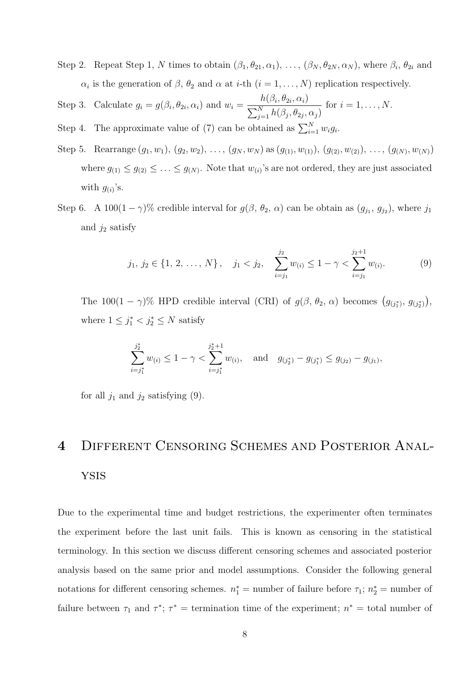- Step 2. Repeat Step 1, N times to obtain  $(\beta_1, \theta_{21}, \alpha_1), \ldots, (\beta_N, \theta_{2N}, \alpha_N)$ , where  $\beta_i$ ,  $\theta_{2i}$  and  $\alpha_i$  is the generation of  $\beta$ ,  $\theta_2$  and  $\alpha$  at *i*-th  $(i = 1, ..., N)$  replication respectively.
- Step 3. Calculate  $g_i = g(\beta_i, \theta_{2i}, \alpha_i)$  and  $w_i =$  $h(\beta_i, \theta_{2i}, \alpha_i)$  $\sum_{j=1}^N h(\beta_j, \theta_{2j}, \alpha_j)$ for  $i = 1, \ldots, N$ .
- Step 4. The approximate value of (7) can be obtained as  $\sum_{i=1}^{N} w_i g_i$ .
- Step 5. Rearrange  $(g_1, w_1), (g_2, w_2), \ldots, (g_N, w_N)$  as  $(g_{(1)}, w_{(1)}), (g_{(2)}, w_{(2)}), \ldots, (g_{(N)}, w_{(N)})$ where  $g_{(1)} \leq g_{(2)} \leq \ldots \leq g_{(N)}$ . Note that  $w_{(i)}$ 's are not ordered, they are just associated with  $g_{(i)}$ 's.
- Step 6. A 100 $(1 \gamma)$ % credible interval for  $g(\beta, \theta_2, \alpha)$  can be obtain as  $(g_{j_1}, g_{j_2})$ , where  $j_1$ and  $j_2$  satisfy

$$
j_1, j_2 \in \{1, 2, ..., N\}, \quad j_1 < j_2, \quad \sum_{i=j_1}^{j_2} w_{(i)} \leq 1 - \gamma < \sum_{i=j_1}^{j_2+1} w_{(i)}.
$$
 (9)

The 100(1 –  $\gamma$ )% HPD credible interval (CRI) of  $g(\beta, \theta_2, \alpha)$  becomes  $(g_{(j_1^*)}, g_{(j_2^*)})$ , where  $1 \leq j_1^* < j_2^* \leq N$  satisfy

$$
\sum_{i=j_1^*}^{j_2^*} w_{(i)} \le 1 - \gamma < \sum_{i=j_1^*}^{j_2^*+1} w_{(i)}, \quad \text{and} \quad g_{(j_2^*)} - g_{(j_1^*)} \le g_{(j_2)} - g_{(j_1)},
$$

for all  $j_1$  and  $j_2$  satisfying (9).

# 4 Different Censoring Schemes and Posterior Analysis

Due to the experimental time and budget restrictions, the experimenter often terminates the experiment before the last unit fails. This is known as censoring in the statistical terminology. In this section we discuss different censoring schemes and associated posterior analysis based on the same prior and model assumptions. Consider the following general notations for different censoring schemes.  $n_1^* =$  number of failure before  $\tau_1$ ;  $n_2^* =$  number of failure between  $\tau_1$  and  $\tau^*$ ;  $\tau^*$  = termination time of the experiment;  $n^*$  = total number of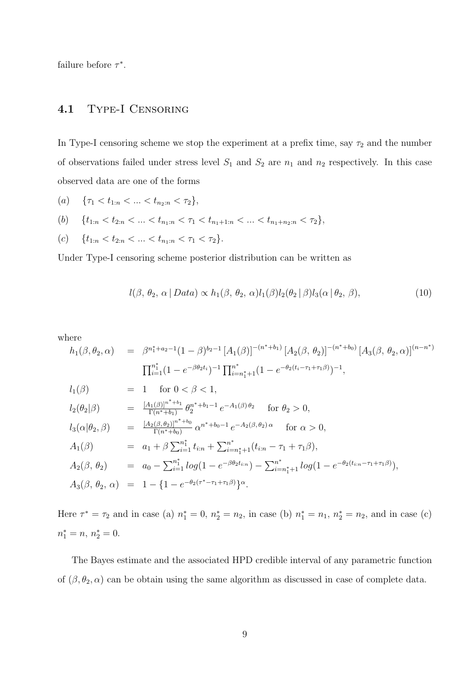failure before  $\tau^*$ .

#### 4.1 Type-I Censoring

In Type-I censoring scheme we stop the experiment at a prefix time, say  $\tau_2$  and the number of observations failed under stress level  $S_1$  and  $S_2$  are  $n_1$  and  $n_2$  respectively. In this case observed data are one of the forms

- (a)  $\{\tau_1 < t_{1:n} < ... < t_{n_2:n} < \tau_2\},\$
- (b)  $\{t_{1:n} < t_{2:n} < \ldots < t_{n_1:n} < \tau_1 < t_{n_1+1:n} < \ldots < t_{n_1+n_2:n} < \tau_2\},\$
- (c)  $\{t_{1:n} < t_{2:n} < \ldots < t_{n_1:n} < \tau_1 < \tau_2\}.$

Under Type-I censoring scheme posterior distribution can be written as

$$
l(\beta, \theta_2, \alpha \mid Data) \propto h_1(\beta, \theta_2, \alpha)l_1(\beta)l_2(\theta_2 \mid \beta)l_3(\alpha \mid \theta_2, \beta), \tag{10}
$$

where

$$
h_1(\beta, \theta_2, \alpha) = \beta^{n_1^* + a_2 - 1} (1 - \beta)^{b_2 - 1} [A_1(\beta)]^{-(n^* + b_1)} [A_2(\beta, \theta_2)]^{-(n^* + b_0)} [A_3(\beta, \theta_2, \alpha)]^{(n - n^*)}
$$
  

$$
\Pi_{i=1}^{n_1^*} (1 - e^{-\beta \theta_2 t_i})^{-1} \Pi_{i=n_1^*+1}^{n^*} (1 - e^{-\theta_2 (t_i - \tau_1 + \tau_1 \beta)})^{-1},
$$
  

$$
l_1(\beta) = 1 \text{ for } 0 < \beta < 1,
$$
  

$$
l_2(\theta_2|\beta) = \frac{[A_1(\beta)]^{n^* + b_1}}{\Gamma(n^* + b_1)} \theta_2^{n^* + b_1 - 1} e^{-A_1(\beta) \theta_2} \text{ for } \theta_2 > 0,
$$
  

$$
l_3(\alpha|\theta_2, \beta) = \frac{[A_2(\beta, \theta_2)]^{n^* + b_0}}{\Gamma(n^* + b_0)} \alpha^{n^* + b_0 - 1} e^{-A_2(\beta, \theta_2) \alpha} \text{ for } \alpha > 0,
$$

$$
A_1(\beta) = a_1 + \beta \sum_{i=1}^{n_1^*} t_{i:n} + \sum_{i=n_1^*+1}^{n^*} (t_{i:n} - \tau_1 + \tau_1 \beta),
$$

$$
A_2(\beta, \theta_2) = a_0 - \sum_{i=1}^{n_1^*} log(1 - e^{-\beta \theta_2 t_{i:n}}) - \sum_{i=n_1^*+1}^{n^*} log(1 - e^{-\theta_2 (t_{i:n} - \tau_1 + \tau_1 \beta)}),
$$
  
\n
$$
A_3(\beta, \theta_2, \alpha) = 1 - \{1 - e^{-\theta_2 (\tau^* - \tau_1 + \tau_1 \beta)}\}^{\alpha}.
$$

Here  $\tau^* = \tau_2$  and in case (a)  $n_1^* = 0$ ,  $n_2^* = n_2$ , in case (b)  $n_1^* = n_1$ ,  $n_2^* = n_2$ , and in case (c)  $n_1^* = n, n_2^* = 0.$ 

The Bayes estimate and the associated HPD credible interval of any parametric function of  $(\beta, \theta_2, \alpha)$  can be obtain using the same algorithm as discussed in case of complete data.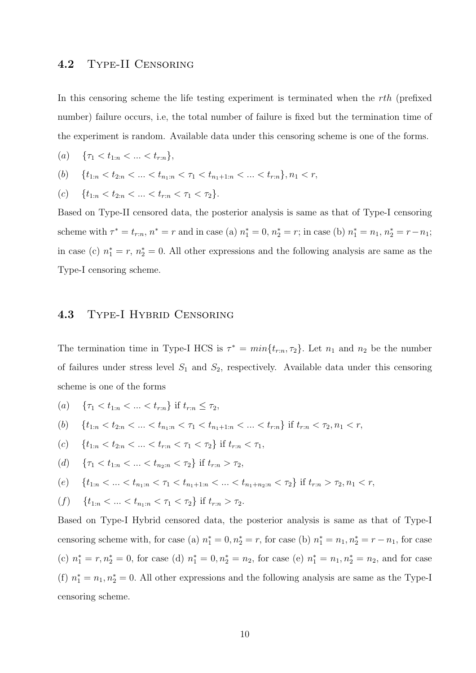#### 4.2 Type-II Censoring

In this censoring scheme the life testing experiment is terminated when the rth (prefixed number) failure occurs, i.e, the total number of failure is fixed but the termination time of the experiment is random. Available data under this censoring scheme is one of the forms.

(a) 
$$
\{\tau_1 < t_{1:n} < \ldots < t_{r:n}\},\
$$

(b) 
$$
\{t_{1:n} < t_{2:n} < \ldots < t_{n_1:n} < \tau_1 < t_{n_1+1:n} < \ldots < t_{r:n}\}, n_1 < r,
$$

$$
(c) \quad \{t_{1:n} < t_{2:n} < \ldots < t_{r:n} < \tau_1 < \tau_2\}.
$$

Based on Type-II censored data, the posterior analysis is same as that of Type-I censoring scheme with  $\tau^* = t_{r:n}$ ,  $n^* = r$  and in case (a)  $n_1^* = 0$ ,  $n_2^* = r$ ; in case (b)  $n_1^* = n_1$ ,  $n_2^* = r - n_1$ ; in case (c)  $n_1^* = r$ ,  $n_2^* = 0$ . All other expressions and the following analysis are same as the Type-I censoring scheme.

#### 4.3 Type-I Hybrid Censoring

The termination time in Type-I HCS is  $\tau^* = min\{t_{r:n}, \tau_2\}$ . Let  $n_1$  and  $n_2$  be the number of failures under stress level  $S_1$  and  $S_2$ , respectively. Available data under this censoring scheme is one of the forms

(a)  $\{\tau_1 < t_{1:n} < \ldots < t_{r:n}\}\)$  if  $t_{r:n} \leq \tau_2$ ,

(b) 
$$
\{t_{1:n} < t_{2:n} < \ldots < t_{n_1:n} < \tau_1 < t_{n_1+1:n} < \ldots < t_{r:n}\}
$$
 if  $t_{r:n} < \tau_2, n_1 < r$ ,

(c) 
$$
\{t_{1:n} < t_{2:n} < \ldots < t_{r:n} < \tau_1 < \tau_2\} \text{ if } t_{r:n} < \tau_1,
$$

(d) 
$$
\{\tau_1 < t_{1:n} < \ldots < t_{n_2:n} < \tau_2\}
$$
 if  $t_{r:n} > \tau_2$ ,

(e) 
$$
\{t_{1:n} < \ldots < t_{n_1:n} < \tau_1 < t_{n_1+1:n} < \ldots < t_{n_1+n_2:n} < \tau_2\}
$$
 if  $t_{r:n} > \tau_2, n_1 < r$ ,

(f) 
$$
\{t_{1:n} < \ldots < t_{n_1:n} < \tau_1 < \tau_2\} \text{ if } t_{r:n} > \tau_2.
$$

Based on Type-I Hybrid censored data, the posterior analysis is same as that of Type-I censoring scheme with, for case (a)  $n_1^* = 0, n_2^* = r$ , for case (b)  $n_1^* = n_1, n_2^* = r - n_1$ , for case (c)  $n_1^* = r, n_2^* = 0$ , for case (d)  $n_1^* = 0, n_2^* = n_2$ , for case (e)  $n_1^* = n_1, n_2^* = n_2$ , and for case (f)  $n_1^* = n_1, n_2^* = 0$ . All other expressions and the following analysis are same as the Type-I censoring scheme.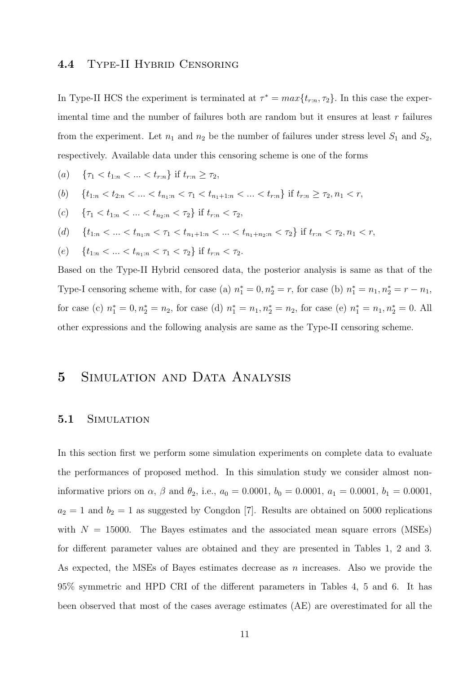#### 4.4 Type-II Hybrid Censoring

In Type-II HCS the experiment is terminated at  $\tau^* = max\{t_{r:n}, \tau_2\}$ . In this case the experimental time and the number of failures both are random but it ensures at least  $r$  failures from the experiment. Let  $n_1$  and  $n_2$  be the number of failures under stress level  $S_1$  and  $S_2$ , respectively. Available data under this censoring scheme is one of the forms

(a)  $\{\tau_1 < t_{1:n} < ... < t_{r:n}\}\)$  if  $t_{r:n} \geq \tau_2$ ,

(b) 
$$
\{t_{1:n} < t_{2:n} < \ldots < t_{n_1:n} < \tau_1 < t_{n_1+1:n} < \ldots < t_{r:n}\} \text{ if } t_{r:n} \geq \tau_2, n_1 < r,
$$

(c)  $\{\tau_1 < t_{1:n} < ... < t_{n_2:n} < \tau_2\}$  if  $t_{r:n} < \tau_2$ ,

(d) 
$$
\{t_{1:n} < \ldots < t_{n_1:n} < \tau_1 < t_{n_1+1:n} < \ldots < t_{n_1+n_2:n} < \tau_2\} \text{ if } t_{r:n} < \tau_2, n_1 < r,
$$

(e) 
$$
\{t_{1:n} < \ldots < t_{n_1:n} < \tau_1 < \tau_2\} \text{ if } t_{r:n} < \tau_2.
$$

Based on the Type-II Hybrid censored data, the posterior analysis is same as that of the Type-I censoring scheme with, for case (a)  $n_1^* = 0, n_2^* = r$ , for case (b)  $n_1^* = n_1, n_2^* = r - n_1$ , for case (c)  $n_1^* = 0, n_2^* = n_2$ , for case (d)  $n_1^* = n_1, n_2^* = n_2$ , for case (e)  $n_1^* = n_1, n_2^* = 0$ . All other expressions and the following analysis are same as the Type-II censoring scheme.

## 5 Simulation and Data Analysis

#### 5.1 Simulation

In this section first we perform some simulation experiments on complete data to evaluate the performances of proposed method. In this simulation study we consider almost noninformative priors on  $\alpha$ ,  $\beta$  and  $\theta_2$ , i.e.,  $a_0 = 0.0001$ ,  $b_0 = 0.0001$ ,  $a_1 = 0.0001$ ,  $b_1 = 0.0001$ ,  $a_2 = 1$  and  $b_2 = 1$  as suggested by Congdon [7]. Results are obtained on 5000 replications with  $N = 15000$ . The Bayes estimates and the associated mean square errors (MSEs) for different parameter values are obtained and they are presented in Tables 1, 2 and 3. As expected, the MSEs of Bayes estimates decrease as  $n$  increases. Also we provide the 95% symmetric and HPD CRI of the different parameters in Tables 4, 5 and 6. It has been observed that most of the cases average estimates (AE) are overestimated for all the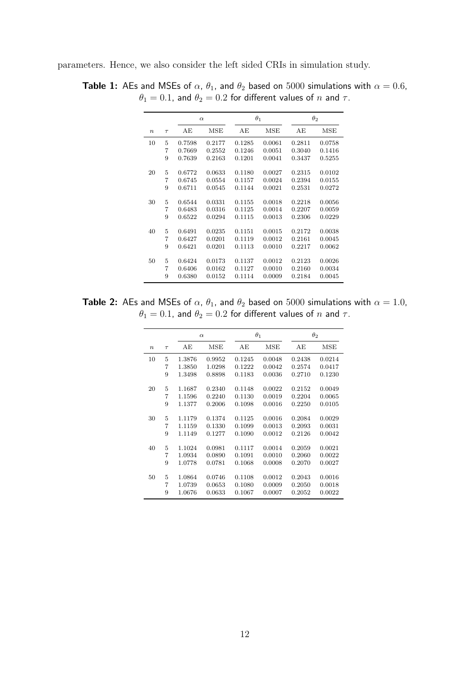parameters. Hence, we also consider the left sided CRIs in simulation study.

|                  |        |        | $\alpha$ |        | $\theta_1$ |        | $\theta_2$ |
|------------------|--------|--------|----------|--------|------------|--------|------------|
| $\boldsymbol{n}$ | $\tau$ | AЕ     | MSE      | AЕ     | MSE        | AЕ     | MSE        |
| 10               | 5      | 0.7598 | 0.2177   | 0.1285 | 0.0061     | 0.2811 | 0.0758     |
|                  | 7      | 0.7669 | 0.2552   | 0.1246 | 0.0051     | 0.3040 | 0.1416     |
|                  | 9      | 0.7639 | 0.2163   | 0.1201 | 0.0041     | 0.3437 | 0.5255     |
| 20               | 5      | 0.6772 | 0.0633   | 0.1180 | 0.0027     | 0.2315 | 0.0102     |
|                  | 7      | 0.6745 | 0.0554   | 0.1157 | 0.0024     | 0.2394 | 0.0155     |
|                  | 9      | 0.6711 | 0.0545   | 0.1144 | 0.0021     | 0.2531 | 0.0272     |
| 30               | 5      | 0.6544 | 0.0331   | 0.1155 | 0.0018     | 0.2218 | 0.0056     |
|                  | 7      | 0.6483 | 0.0316   | 0.1125 | 0.0014     | 0.2207 | 0.0059     |
|                  | 9      | 0.6522 | 0.0294   | 0.1115 | 0.0013     | 0.2306 | 0.0229     |
| 40               | 5      | 0.6491 | 0.0235   | 0.1151 | 0.0015     | 0.2172 | 0.0038     |
|                  | 7      | 0.6427 | 0.0201   | 0.1119 | 0.0012     | 0.2161 | 0.0045     |
|                  | 9      | 0.6421 | 0.0201   | 0.1113 | 0.0010     | 0.2217 | 0.0062     |
| 50               | 5      | 0.6424 | 0.0173   | 0.1137 | 0.0012     | 0.2123 | 0.0026     |
|                  | 7      | 0.6406 | 0.0162   | 0.1127 | 0.0010     | 0.2160 | 0.0034     |
|                  | 9      | 0.6380 | 0.0152   | 0.1114 |            |        |            |
|                  |        |        |          |        | 0.0009     | 0.2184 | 0.0045     |

**Table 1:** AEs and MSEs of  $\alpha$ ,  $\theta_1$ , and  $\theta_2$  based on 5000 simulations with  $\alpha = 0.6$ ,  $\theta_1 = 0.1$ , and  $\theta_2 = 0.2$  for different values of  $n$  and  $\tau$ .

**Table 2:** AEs and MSEs of  $\alpha$ ,  $\theta_1$ , and  $\theta_2$  based on 5000 simulations with  $\alpha = 1.0$ ,  $\theta_1 = 0.1$ , and  $\theta_2 = 0.2$  for different values of  $n$  and  $\tau$ .

|                  |        |        | $\alpha$ |        | $\theta_1$ |        | $\theta_2$ |
|------------------|--------|--------|----------|--------|------------|--------|------------|
| $\boldsymbol{n}$ | $\tau$ | AЕ     | MSE      | AЕ     | MSE        | AЕ     | MSE        |
| 10               | 5      | 1.3876 | 0.9952   | 0.1245 | 0.0048     | 0.2438 | 0.0214     |
|                  | 7      | 1.3850 | 1.0298   | 0.1222 | 0.0042     | 0.2574 | 0.0417     |
|                  | 9      | 1.3498 | 0.8898   | 0.1183 | 0.0036     | 0.2710 | 0.1230     |
|                  |        |        |          |        |            |        |            |
| 20               | 5      | 1.1687 | 0.2340   | 0.1148 | 0.0022     | 0.2152 | 0.0049     |
|                  | 7      | 1.1596 | 0.2240   | 0.1130 | 0.0019     | 0.2204 | 0.0065     |
|                  | 9      | 1.1377 | 0.2006   | 0.1098 | 0.0016     | 0.2250 | 0.0105     |
|                  |        |        |          |        |            |        |            |
| 30               | 5      | 1.1179 | 0.1374   | 0.1125 | 0.0016     | 0.2084 | 0.0029     |
|                  | 7      | 1.1159 | 0.1330   | 0.1099 | 0.0013     | 0.2093 | 0.0031     |
|                  | 9      | 1.1149 | 0.1277   | 0.1090 | 0.0012     | 0.2126 | 0.0042     |
|                  |        |        |          |        |            |        |            |
| 40               | 5      | 1.1024 | 0.0981   | 0.1117 | 0.0014     | 0.2059 | 0.0021     |
|                  | 7      | 1.0934 | 0.0890   | 0.1091 | 0.0010     | 0.2060 | 0.0022     |
|                  | 9      | 1.0778 | 0.0781   | 0.1068 | 0.0008     | 0.2070 | 0.0027     |
|                  |        |        |          |        |            |        |            |
| 50               | 5      | 1.0864 | 0.0746   | 0.1108 | 0.0012     | 0.2043 | 0.0016     |
|                  | 7      | 1.0739 | 0.0653   | 0.1080 | 0.0009     | 0.2050 | 0.0018     |
|                  | 9      | 1.0676 | 0.0633   | 0.1067 | 0.0007     | 0.2052 | 0.0022     |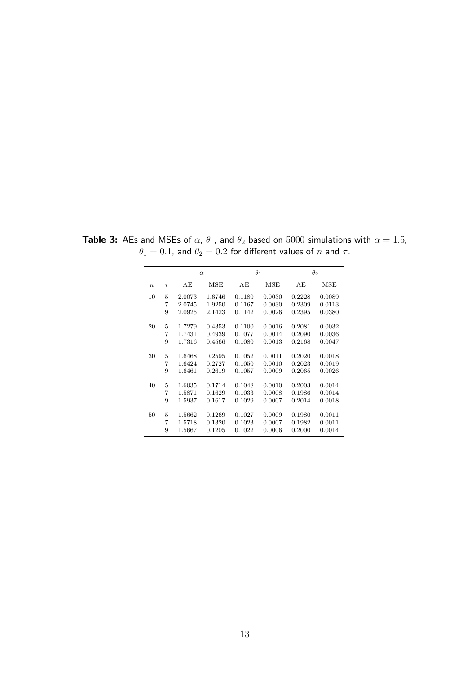|                  |        |                  | $\alpha$ |        | $\theta_1$ |        | $\theta_2$ |
|------------------|--------|------------------|----------|--------|------------|--------|------------|
| $\boldsymbol{n}$ | $\tau$ | AE               | MSE      | AЕ     | MSE        | AЕ     | MSE        |
| 10               | 5      | 2.0073           | 1.6746   | 0.1180 | 0.0030     | 0.2228 | 0.0089     |
|                  | 7      | 2.0745           | 1.9250   | 0.1167 | 0.0030     | 0.2309 | 0.0113     |
|                  | 9      | 2.0925           | 2.1423   | 0.1142 | 0.0026     | 0.2395 | 0.0380     |
| 20               | 5      | 1.7279           | 0.4353   | 0.1100 | 0.0016     | 0.2081 | 0.0032     |
|                  | 7      | 1.7431           | 0.4939   | 0.1077 | 0.0014     | 0.2090 | 0.0036     |
|                  | 9      | 1.7316           | 0.4566   | 0.1080 | 0.0013     | 0.2168 | 0.0047     |
|                  |        |                  |          |        |            |        |            |
| 30               | 5      | 1.6468           | 0.2595   | 0.1052 | 0.0011     | 0.2020 | 0.0018     |
|                  | 7      | 1.6424           | 0.2727   | 0.1050 | 0.0010     | 0.2023 | 0.0019     |
|                  | 9      | 1.6461           | 0.2619   | 0.1057 | 0.0009     | 0.2065 | 0.0026     |
| 40               | 5      | 1.6035           | 0.1714   | 0.1048 | 0.0010     | 0.2003 | 0.0014     |
|                  | 7      | 1.5871           | 0.1629   | 0.1033 | 0.0008     | 0.1986 | 0.0014     |
|                  | 9      | 1.5937           | 0.1617   | 0.1029 | 0.0007     | 0.2014 | 0.0018     |
| 50               | 5      | 1.5662<br>0.1269 |          | 0.1027 | 0.0009     | 0.1980 | 0.0011     |
|                  | 7      |                  |          | 0.1023 | 0.0007     | 0.1982 | 0.0011     |
|                  |        | 0.1320<br>1.5718 |          |        |            |        |            |
|                  | 9      | 1.5667           | 0.1205   | 0.1022 | 0.0006     | 0.2000 | 0.0014     |

**Table 3:** AEs and MSEs of  $\alpha$ ,  $\theta_1$ , and  $\theta_2$  based on 5000 simulations with  $\alpha = 1.5$ ,  $\theta_1=0.1$ , and  $\theta_2=0.2$  for different values of  $n$  and  $\tau.$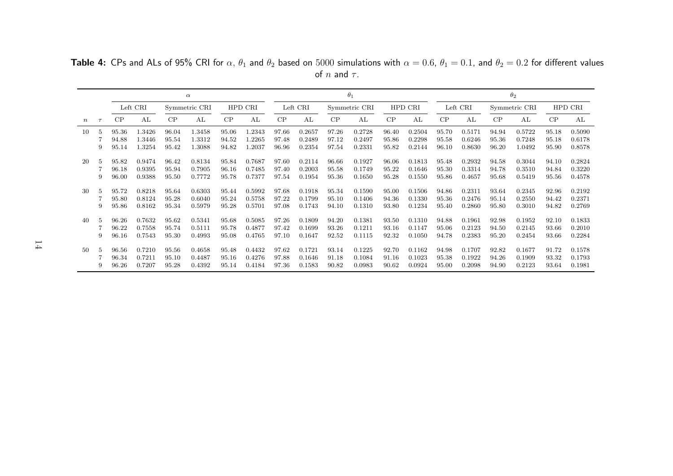α $\theta_1$   $\theta_2$ Left CRI Symmetric CRI HPD CRI Left CRI Symmetric CRI HPD CRI Left CRI Symmetric CRI HPD CRI <sup>n</sup> <sup>τ</sup> CP AL CP AL CP AL CP AL CP AL CP AL CP AL CP AL CP AL <sup>5</sup> 95.36 1.3426 96.04 1.3458 95.06 1.2343 97.66 0.2657 97.26 0.2728 96.40 0.2504 95.70 0.5171 94.94 0.5722 95.18 0.5090 94.88 1.3446 95.54 1.3312 94.52 1.2265 97.48 0.2489 97.12 0.2497 95.86 0.2298 95.58 0.6246 95.36 0.7248 95.18 0.6178 95.14 1.3254 95.42 1.3088 94.82 1.2037 96.96 0.2354 97.54 0.2331 95.82 0.2144 96.10 0.8630 96.20 1.0492 95.90 0.8578 <sup>5</sup> 95.82 0.9474 96.42 0.8134 95.84 0.7687 97.60 0.2114 96.66 0.1927 96.06 0.1813 95.48 0.2932 94.58 0.3044 94.10 0.2824 96.18 0.9395 95.94 0.7905 96.16 0.7485 97.40 0.2003 95.58 0.1749 95.22 0.1646 95.30 0.3314 94.78 0.3510 94.84 0.3220 96.00 0.9388 95.50 0.7772 95.78 0.7377 97.54 0.1954 95.36 0.1650 95.28 0.1550 95.86 0.4657 95.68 0.5419 95.56 0.4578 <sup>5</sup> 95.72 0.8218 95.64 0.6303 95.44 0.5992 97.68 0.1918 95.34 0.1590 95.00 0.1506 94.86 0.2311 93.64 0.2345 92.96 0.2192 95.80 0.8124 95.28 0.6040 95.24 0.5758 97.22 0.1799 95.10 0.1406 94.36 0.1330 95.36 0.2476 95.14 0.2550 94.42 0.2371 95.86 0.8162 95.34 0.5979 95.28 0.5701 97.08 0.1743 94.10 0.1310 93.80 0.1234 95.40 0.2860 95.80 0.3010 94.82 0.2769

 <sup>5</sup> 96.26 0.7632 95.62 0.5341 95.68 0.5085 97.26 0.1809 94.20 0.1381 93.50 0.1310 94.88 0.1961 92.98 0.1952 92.10 0.1833 96.22 0.7558 95.74 0.5111 95.78 0.4877 97.42 0.1699 93.26 0.1211 93.16 0.1147 95.06 0.2123 94.50 0.2145 93.66 0.2010 96.16 0.7543 95.30 0.4993 95.08 0.4765 97.10 0.1647 92.52 0.1115 92.32 0.1050 94.78 0.2383 95.20 0.2454 93.66 0.2284

 <sup>5</sup> 96.56 0.7210 95.56 0.4658 95.48 0.4432 97.62 0.1721 93.14 0.1225 92.70 0.1162 94.98 0.1707 92.82 0.1677 91.72 0.1578 96.34 0.7211 95.10 0.4487 95.16 0.4276 97.88 0.1646 91.18 0.1084 91.16 0.1023 95.38 0.1922 94.26 0.1909 93.32 0.1793 96.26 0.7207 95.28 0.4392 95.14 0.4184 97.36 0.1583 90.82 0.0983 90.62 0.0924 95.00 0.2098 94.90 0.2123 93.64 0.1981

**Table 4:** CPs and ALs of 95% CRI for  $\alpha$ ,  $\theta_1$  and  $\theta_2$  based on  $5000$  simulations with  $\alpha = 0.6$ ,  $\theta_1 = 0.1$ , and  $\theta_2 = 0.2$  for different values of  $n$  and  $\tau$ .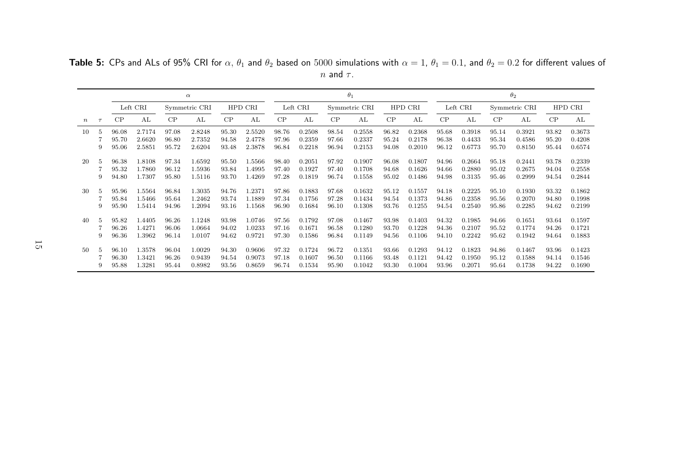α $\theta_1$   $\theta_2$ Left CRI Symmetric CRI HPD CRI Left CRI Symmetric CRI HPD CRI Left CRI Symmetric CRI HPD CRI <sup>n</sup> <sup>τ</sup> CP AL CP AL CP AL CP AL CP AL CP AL CP AL CP AL CP AL <sup>5</sup> 96.08 2.7174 97.08 2.8248 95.30 2.5520 98.76 0.2508 98.54 0.2558 96.82 0.2368 95.68 0.3918 95.14 0.3921 93.82 0.3673 95.70 2.6620 96.80 2.7352 94.58 2.4778 97.96 0.2359 97.66 0.2337 95.24 0.2178 96.38 0.4433 95.34 0.4586 95.20 0.4208 95.06 2.5851 95.72 2.6204 93.48 2.3878 96.84 0.2218 96.94 0.2153 94.08 0.2010 96.12 0.6773 95.70 0.8150 95.44 0.6574 <sup>5</sup> 96.38 1.8108 97.34 1.6592 95.50 1.5566 98.40 0.2051 97.92 0.1907 96.08 0.1807 94.96 0.2664 95.18 0.2441 93.78 0.2339 95.32 1.7860 96.12 1.5936 93.84 1.4995 97.40 0.1927 97.40 0.1708 94.68 0.1626 94.66 0.2880 95.02 0.2675 94.04 0.2558 94.80 1.7307 95.80 1.5116 93.70 1.4269 97.28 0.1819 96.74 0.1558 95.02 0.1486 94.98 0.3135 95.46 0.2999 94.54 0.2844 <sup>5</sup> 95.96 1.5564 96.84 1.3035 94.76 1.2371 97.86 0.1883 97.68 0.1632 95.12 0.1557 94.18 0.2225 95.10 0.1930 93.32 0.1862 95.84 1.5466 95.64 1.2462 93.74 1.1889 97.34 0.1756 97.28 0.1434 94.54 0.1373 94.86 0.2358 95.56 0.2070 94.80 0.1998 95.90 1.5414 94.96 1.2094 93.16 1.1568 96.90 0.1684 96.10 0.1308 93.76 0.1255 94.54 0.2540 95.86 0.2285 94.62 0.2199 <sup>5</sup> 95.82 1.4405 96.26 1.1248 93.98 1.0746 97.56 0.1792 97.08 0.1467 93.98 0.1403 94.32 0.1985 94.66 0.1651 93.64 0.1597 96.26 1.4271 96.06 1.0664 94.02 1.0233 97.16 0.1671 96.58 0.1280 93.70 0.1228 94.36 0.2107 95.52 0.1774 94.26 0.1721 96.36 1.3962 96.14 1.0107 94.62 0.9721 97.30 0.1586 96.84 0.1149 94.56 0.1106 94.10 0.2242 95.62 0.1942 94.64 0.1883 <sup>5</sup> 96.10 1.3578 96.04 1.0029 94.30 0.9606 97.32 0.1724 96.72 0.1351 93.66 0.1293 94.12 0.1823 94.86 0.1467 93.96 0.1423 96.30 1.3421 96.26 0.9439 94.54 0.9073 97.18 0.1607 96.50 0.1166 93.48 0.1121 94.42 0.1950 95.12 0.1588 94.14 0.1546 95.88 1.3281 95.44 0.8982 93.56 0.8659 96.74 0.1534 95.90 0.1042 93.30 0.1004 93.96 0.2071 95.64 0.1738 94.22 0.1690

**Table 5:** CPs and ALs of 95% CRI for  $\alpha, \theta_1$  and  $\theta_2$  based on  $5000$  simulations with  $\alpha = 1$ ,  $\theta_1 = 0.1$ , and  $\theta_2 = 0.2$  for different values of  $n$  and  $\tau$ .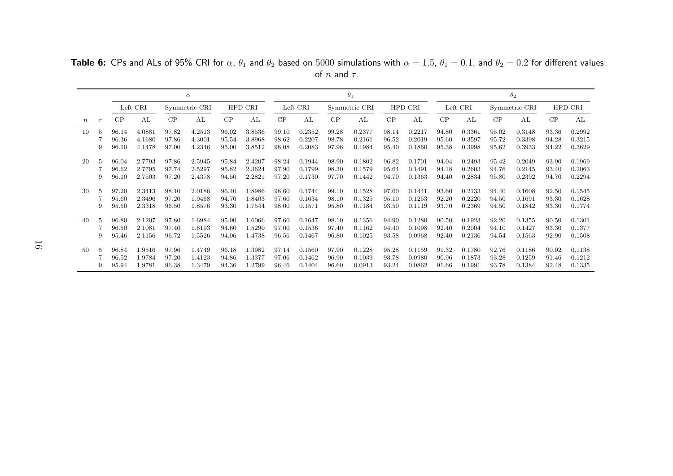α $\theta_1$   $\theta_2$ Left CRI Symmetric CRI HPD CRI Left CRI Symmetric CRI HPD CRI Left CRI Symmetric CRI HPD CRI <sup>n</sup> <sup>τ</sup> CP AL CP AL CP AL CP AL CP AL CP AL CP AL CP AL CP AL <sup>5</sup> 96.14 4.0881 97.82 4.2513 96.02 3.8536 99.10 0.2352 99.28 0.2377 98.14 0.2217 94.80 0.3361 95.02 0.3148 93.36 0.2992 96.36 4.1680 97.86 4.3001 95.54 3.8968 98.62 0.2207 98.78 0.2161 96.52 0.2019 95.60 0.3597 95.72 0.3398 94.28 0.3215 96.10 4.1478 97.00 4.2346 95.00 3.8512 98.08 0.2083 97.96 0.1984 95.40 0.1860 95.38 0.3998 95.62 0.3933 94.22 0.3629 <sup>5</sup> 96.04 2.7793 97.86 2.5945 95.84 2.4207 98.24 0.1944 98.90 0.1802 96.82 0.1701 94.04 0.2493 95.42 0.2049 93.90 0.1969 96.62 2.7795 97.74 2.5297 95.82 2.3624 97.90 0.1799 98.30 0.1579 95.64 0.1491 94.18 0.2603 94.76 0.2145 93.40 0.2063 96.10 2.7503 97.20 2.4378 94.50 2.2821 97.20 0.1730 97.70 0.1442 94.70 0.1363 94.40 0.2834 95.80 0.2392 94.70 0.2294 <sup>5</sup> 97.20 2.3413 98.10 2.0186 96.40 1.8986 98.60 0.1744 99.10 0.1528 97.60 0.1441 93.60 0.2133 94.40 0.1608 92.50 0.1545 95.60 2.3496 97.20 1.9468 94.70 1.8403 97.60 0.1634 98.10 0.1325 95.10 0.1253 92.20 0.2220 94.50 0.1691 93.30 0.1628 95.50 2.3318 96.50 1.8576 93.30 1.7544 98.00 0.1571 95.80 0.1184 93.50 0.1119 93.70 0.2369 94.50 0.1842 93.30 0.1774 <sup>5</sup> 96.80 2.1207 97.80 1.6984 95.90 1.6066 97.60 0.1647 98.10 0.1356 94.90 0.1280 90.50 0.1923 92.20 0.1355 90.50 0.1301 96.50 2.1081 97.40 1.6193 94.60 1.5290 97.00 0.1536 97.40 0.1162 94.40 0.1098 92.40 0.2004 94.10 0.1427 93.30 0.1377 95.46 2.1156 96.72 1.5526 94.06 1.4738 96.56 0.1467 96.80 0.1025 93.58 0.0968 92.40 0.2136 94.54 0.1563 92.90 0.1508 <sup>5</sup> 96.84 1.9516 97.96 1.4749 96.18 1.3982 97.14 0.1560 97.90 0.1228 95.28 0.1159 91.32 0.1780 92.76 0.1186 90.92 0.1138 96.52 1.9784 97.20 1.4123 94.86 1.3377 97.06 0.1462 96.90 0.1039 93.78 0.0980 90.96 0.1873 93.28 0.1259 91.46 0.1212 95.94 1.9781 96.38 1.3479 94.36 1.2799 96.46 0.1404 96.60 0.0913 93.24 0.0862 91.66 0.1991 93.78 0.1384 92.48 0.1335

**Table 6:** CPs and ALs of 95% CRI for  $\alpha$ ,  $\theta_1$  and  $\theta_2$  based on  $5000$  simulations with  $\alpha = 1.5$ ,  $\theta_1 = 0.1$ , and  $\theta_2 = 0.2$  for different values of  $n$  and  $\tau$ .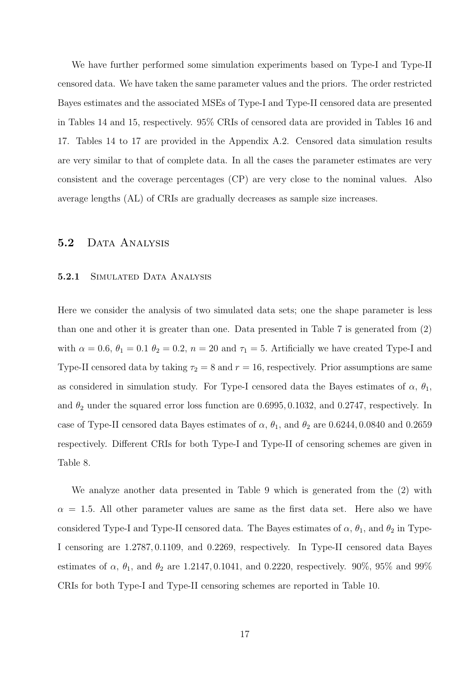We have further performed some simulation experiments based on Type-I and Type-II censored data. We have taken the same parameter values and the priors. The order restricted Bayes estimates and the associated MSEs of Type-I and Type-II censored data are presented in Tables 14 and 15, respectively. 95% CRIs of censored data are provided in Tables 16 and 17. Tables 14 to 17 are provided in the Appendix A.2. Censored data simulation results are very similar to that of complete data. In all the cases the parameter estimates are very consistent and the coverage percentages (CP) are very close to the nominal values. Also average lengths (AL) of CRIs are gradually decreases as sample size increases.

#### 5.2 DATA ANALYSIS

#### 5.2.1 SIMULATED DATA ANALYSIS

Here we consider the analysis of two simulated data sets; one the shape parameter is less than one and other it is greater than one. Data presented in Table 7 is generated from (2) with  $\alpha = 0.6$ ,  $\theta_1 = 0.1$   $\theta_2 = 0.2$ ,  $n = 20$  and  $\tau_1 = 5$ . Artificially we have created Type-I and Type-II censored data by taking  $\tau_2 = 8$  and  $r = 16$ , respectively. Prior assumptions are same as considered in simulation study. For Type-I censored data the Bayes estimates of  $\alpha$ ,  $\theta_1$ , and  $\theta_2$  under the squared error loss function are 0.6995, 0.1032, and 0.2747, respectively. In case of Type-II censored data Bayes estimates of  $\alpha$ ,  $\theta_1$ , and  $\theta_2$  are 0.6244, 0.0840 and 0.2659 respectively. Different CRIs for both Type-I and Type-II of censoring schemes are given in Table 8.

We analyze another data presented in Table 9 which is generated from the (2) with  $\alpha = 1.5$ . All other parameter values are same as the first data set. Here also we have considered Type-I and Type-II censored data. The Bayes estimates of  $\alpha$ ,  $\theta_1$ , and  $\theta_2$  in Type-I censoring are 1.2787, 0.1109, and 0.2269, respectively. In Type-II censored data Bayes estimates of  $\alpha$ ,  $\theta_1$ , and  $\theta_2$  are 1.2147, 0.1041, and 0.2220, respectively. 90%, 95% and 99% CRIs for both Type-I and Type-II censoring schemes are reported in Table 10.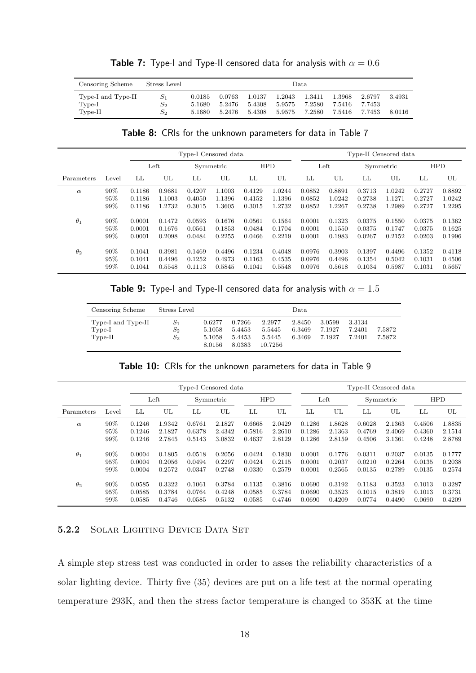| Censoring Scheme                          | Stress Level           |                            |                            |                            |                            | Data                       |                            |                            |                  |
|-------------------------------------------|------------------------|----------------------------|----------------------------|----------------------------|----------------------------|----------------------------|----------------------------|----------------------------|------------------|
| Type-I and Type-II<br>Type-I<br>$Type-II$ | $S_1$<br>$S_{2}$<br>S2 | 0.0185<br>5.1680<br>5.1680 | 0.0763<br>5.2476<br>5.2476 | 1.0137<br>5.4308<br>5.4308 | 1.2043<br>5.9575<br>5.9575 | 1.3411<br>7.2580<br>7.2580 | 1.3968<br>7.5416<br>7.5416 | 2.6797<br>7.7453<br>7.7453 | 3.4931<br>8.0116 |

**Table 7:** Type-I and Type-II censored data for analysis with  $\alpha = 0.6$ 

Table 8: CRIs for the unknown parameters for data in Table 7

|            |       |                  |        | Type-I Censored data |           |        |            |        |        |           | Type-II Censored data |            |        |
|------------|-------|------------------|--------|----------------------|-----------|--------|------------|--------|--------|-----------|-----------------------|------------|--------|
|            |       |                  | Left   |                      | Symmetric |        | <b>HPD</b> | Left   |        | Symmetric |                       | <b>HPD</b> |        |
| Parameters | Level | LL               | UL     | LL                   | UL        | LL     | UL         | LL     | UL     | LL        | UL                    | LL         | UL     |
| $\alpha$   | 90%   | 0.1186           | 0.9681 | 0.4207               | 1.1003    | 0.4129 | 1.0244     | 0.0852 | 0.8891 | 0.3713    | 1.0242                | 0.2727     | 0.8892 |
|            | 95%   | 0.1186           | 1.1003 | 0.4050               | 1.1396    | 0.4152 | 1.1396     | 0.0852 | 1.0242 | 0.2738    | 1.1271                | 0.2727     | 1.0242 |
|            | 99%   | 0.1186           | 1.2732 | 0.3015               | 1.3605    | 0.3015 | 1.2732     | 0.0852 | 1.2267 | 0.2738    | 1.2989                | 0.2727     | 1.2295 |
| $\theta_1$ | 90%   | 0.0001<br>0.1472 |        | 0.0593<br>0.1676     |           | 0.0561 | 0.1564     | 0.0001 | 0.1323 | 0.0375    | 0.1550                | 0.0375     | 0.1362 |
|            | 95%   | 0.0001           | 0.1676 | 0.0561               | 0.1853    | 0.0484 | 0.1704     | 0.0001 | 0.1550 | 0.0375    | 0.1747                | 0.0375     | 0.1625 |
|            | 99%   | 0.0001           | 0.2098 | 0.0484               | 0.2255    | 0.0466 | 0.2219     | 0.0001 | 0.1983 | 0.0267    | 0.2152                | 0.0203     | 0.1996 |
| $\theta_2$ | 90%   | 0.1041           | 0.3981 | 0.1469               | 0.4496    | 0.1234 | 0.4048     | 0.0976 | 0.3903 | 0.1397    | 0.4496                | 0.1352     | 0.4118 |
|            | 95%   | 0.1041           | 0.4496 | 0.1252               | 0.4973    | 0.1163 | 0.4535     | 0.0976 | 0.4496 | 0.1354    | 0.5042                | 0.1031     | 0.4506 |
|            | 99%   | 0.1041           | 0.5548 | 0.1113               | 0.5845    | 0.1041 | 0.5548     | 0.0976 | 0.5618 | 0.1034    | 0.5987                | 0.1031     | 0.5657 |

**Table 9:** Type-I and Type-II censored data for analysis with  $\alpha = 1.5$ 

| Censoring Scheme                            | Stress Level                                        |                                      |                                      |                                       | Data.                      |                            |                            |                  |
|---------------------------------------------|-----------------------------------------------------|--------------------------------------|--------------------------------------|---------------------------------------|----------------------------|----------------------------|----------------------------|------------------|
| Type-I and Type-II<br>$Type-I$<br>$Type-II$ | $S_{1}$<br>$\scriptstyle S_2$<br>$\scriptstyle S_2$ | 0.6277<br>5.1058<br>5.1058<br>8.0156 | 0.7266<br>5.4453<br>5.4453<br>8.0383 | 2.2977<br>5.5445<br>5.5445<br>10.7256 | 2.8450<br>6.3469<br>6.3469 | 3.0599<br>7.1927<br>7.1927 | 3.3134<br>7.2401<br>7.2401 | 7.5872<br>7.5872 |

Table 10: CRIs for the unknown parameters for data in Table 9

|            |       |                  |        | Type-I Censored data |           |                  |            |        |        | Type-II Censored data |           |            |        |
|------------|-------|------------------|--------|----------------------|-----------|------------------|------------|--------|--------|-----------------------|-----------|------------|--------|
|            |       |                  | Left   |                      | Symmetric |                  | <b>HPD</b> |        | Left   |                       | Symmetric | <b>HPD</b> |        |
| Parameters | Level | LL               | UL     | LL                   | UL        | LL               | UL         | LL     | UL     | LL                    | UL        | LL         | UL     |
| $\alpha$   | 90%   | 0.1246           | 1.9342 | 0.6761               | 2.1827    | 0.6668           | 2.0429     | 0.1286 | 1.8628 | 0.6028                | 2.1363    | 0.4506     | 1.8835 |
|            | 95%   | 0.1246           | 2.1827 | 0.6378               | 2.4342    | 0.5816           | 2.2610     | 0.1286 | 2.1363 | 0.4769                | 2.4069    | 0.4360     | 2.1514 |
|            | 99%   | 0.1246<br>2.7845 |        | 0.5143               | 3.0832    | 0.4637           | 2.8129     | 0.1286 | 2.8159 | 0.4506                | 3.1361    | 0.4248     | 2.8789 |
| $\theta_1$ | 90%   | 0.0004<br>0.1805 |        | 0.0518<br>0.2056     |           | 0.0424           | 0.1830     | 0.0001 | 0.1776 | 0.0311                | 0.2037    | 0.0135     | 0.1777 |
|            | 95%   | 0.0004           | 0.2056 | 0.0494               | 0.2297    | 0.0424           | 0.2115     | 0.0001 | 0.2037 | 0.0210                | 0.2264    | 0.0135     | 0.2038 |
|            | 99%   | 0.0004<br>0.2572 |        | 0.0347               | 0.2748    | 0.0330<br>0.2579 |            | 0.0001 | 0.2565 | 0.0135                | 0.2789    | 0.0135     | 0.2574 |
| $\theta_2$ | 90%   | 0.0585           | 0.3322 | 0.1061               | 0.3784    | 0.1135           | 0.3816     | 0.0690 | 0.3192 | 0.1183                | 0.3523    | 0.1013     | 0.3287 |
|            | 95%   | 0.0585           | 0.3784 | 0.0764               | 0.4248    | 0.0585           | 0.3784     | 0.0690 | 0.3523 | 0.1015                | 0.3819    | 0.1013     | 0.3731 |
|            | 99%   | 0.0585           | 0.4746 | 0.0585               | 0.5132    | 0.0585           | 0.4746     | 0.0690 | 0.4209 | 0.0774                | 0.4490    | 0.0690     | 0.4209 |

#### 5.2.2 SOLAR LIGHTING DEVICE DATA SET

A simple step stress test was conducted in order to asses the reliability characteristics of a solar lighting device. Thirty five (35) devices are put on a life test at the normal operating temperature 293K, and then the stress factor temperature is changed to 353K at the time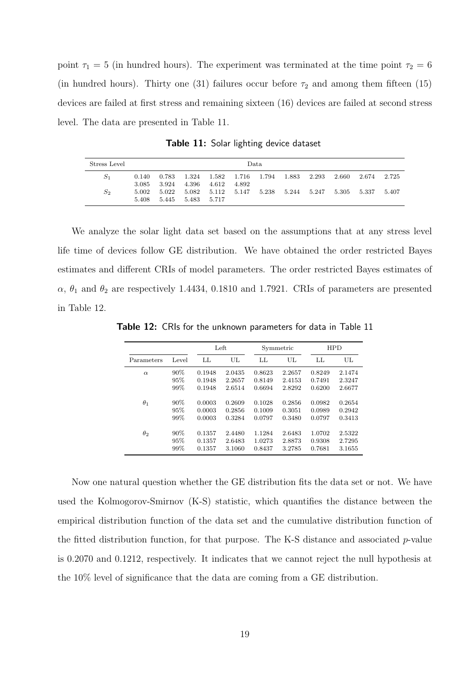point  $\tau_1 = 5$  (in hundred hours). The experiment was terminated at the time point  $\tau_2 = 6$ (in hundred hours). Thirty one (31) failures occur before  $\tau_2$  and among them fifteen (15) devices are failed at first stress and remaining sixteen (16) devices are failed at second stress level. The data are presented in Table 11.

Stress Level Data  $S_1$  0.140 0.783 1.324 1.582 1.716 1.794 1.883 2.293 2.660 2.674 2.725 3.085 3.924 4.396 4.612 4.892  $S_2$  5.002 5.022 5.082 5.112 5.147 5.238 5.244 5.247 5.305 5.337 5.407 5.408 5.445 5.483 5.717

Table 11: Solar lighting device dataset

We analyze the solar light data set based on the assumptions that at any stress level life time of devices follow GE distribution. We have obtained the order restricted Bayes estimates and different CRIs of model parameters. The order restricted Bayes estimates of  $\alpha$ ,  $\theta_1$  and  $\theta_2$  are respectively 1.4434, 0.1810 and 1.7921. CRIs of parameters are presented in Table 12.

Table 12: CRIs for the unknown parameters for data in Table 11

|            |       | Left             |        |                  | Symmetric | <b>HPD</b> |        |  |
|------------|-------|------------------|--------|------------------|-----------|------------|--------|--|
| Parameters | Level | LL               | UL.    | LL               | UL.       | LL         | UL.    |  |
| $\alpha$   | 90%   | 0.1948           | 2.0435 | 0.8623           | 2.2657    | 0.8249     | 2.1474 |  |
|            | 95%   | 0.1948           | 2.2657 | 0.8149           | 2.4153    | 0.7491     | 2.3247 |  |
|            | 99%   | 0.1948           | 2.6514 | 0.6694           | 2.8292    | 0.6200     | 2.6677 |  |
| $\theta_1$ | 90%   | 0.0003           | 0.2609 | 0.1028           | 0.2856    | 0.0982     | 0.2654 |  |
|            | 95%   | 0.0003           | 0.2856 | 0.1009           | 0.3051    | 0.0989     | 0.2942 |  |
|            | 99%   | 0.0003           | 0.3284 | 0.0797           | 0.3480    | 0.0797     | 0.3413 |  |
| $\theta_2$ | 90%   | 0.1357           | 2.4480 | 1.1284           | 2.6483    | 1.0702     | 2.5322 |  |
|            | 95%   | 0.1357           | 2.6483 | 1.0273           | 2.8873    | 0.9308     | 2.7295 |  |
|            | 99%   | 3.1060<br>0.1357 |        | 3.2785<br>0.8437 |           | 0.7681     | 3.1655 |  |

Now one natural question whether the GE distribution fits the data set or not. We have used the Kolmogorov-Smirnov (K-S) statistic, which quantifies the distance between the empirical distribution function of the data set and the cumulative distribution function of the fitted distribution function, for that purpose. The K-S distance and associated  $p$ -value is 0.2070 and 0.1212, respectively. It indicates that we cannot reject the null hypothesis at the 10% level of significance that the data are coming from a GE distribution.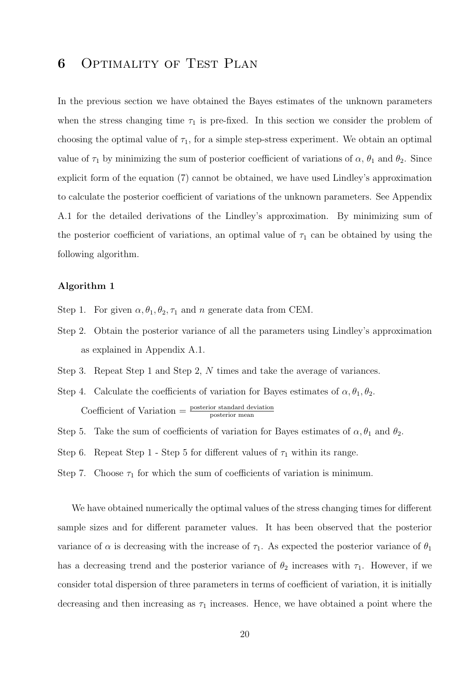## 6 Optimality of Test Plan

In the previous section we have obtained the Bayes estimates of the unknown parameters when the stress changing time  $\tau_1$  is pre-fixed. In this section we consider the problem of choosing the optimal value of  $\tau_1$ , for a simple step-stress experiment. We obtain an optimal value of  $\tau_1$  by minimizing the sum of posterior coefficient of variations of  $\alpha$ ,  $\theta_1$  and  $\theta_2$ . Since explicit form of the equation (7) cannot be obtained, we have used Lindley's approximation to calculate the posterior coefficient of variations of the unknown parameters. See Appendix A.1 for the detailed derivations of the Lindley's approximation. By minimizing sum of the posterior coefficient of variations, an optimal value of  $\tau_1$  can be obtained by using the following algorithm.

#### Algorithm 1

- Step 1. For given  $\alpha$ ,  $\theta_1$ ,  $\theta_2$ ,  $\tau_1$  and n generate data from CEM.
- Step 2. Obtain the posterior variance of all the parameters using Lindley's approximation as explained in Appendix A.1.
- Step 3. Repeat Step 1 and Step 2, N times and take the average of variances.
- Step 4. Calculate the coefficients of variation for Bayes estimates of  $\alpha, \theta_1, \theta_2$ . Coefficient of Variation  $=$   $\frac{\text{posterior standard deviation}}{\text{posterior mean}}$
- Step 5. Take the sum of coefficients of variation for Bayes estimates of  $\alpha$ ,  $\theta_1$  and  $\theta_2$ .
- Step 6. Repeat Step 1 Step 5 for different values of  $\tau_1$  within its range.
- Step 7. Choose  $\tau_1$  for which the sum of coefficients of variation is minimum.

We have obtained numerically the optimal values of the stress changing times for different sample sizes and for different parameter values. It has been observed that the posterior variance of  $\alpha$  is decreasing with the increase of  $\tau_1$ . As expected the posterior variance of  $\theta_1$ has a decreasing trend and the posterior variance of  $\theta_2$  increases with  $\tau_1$ . However, if we consider total dispersion of three parameters in terms of coefficient of variation, it is initially decreasing and then increasing as  $\tau_1$  increases. Hence, we have obtained a point where the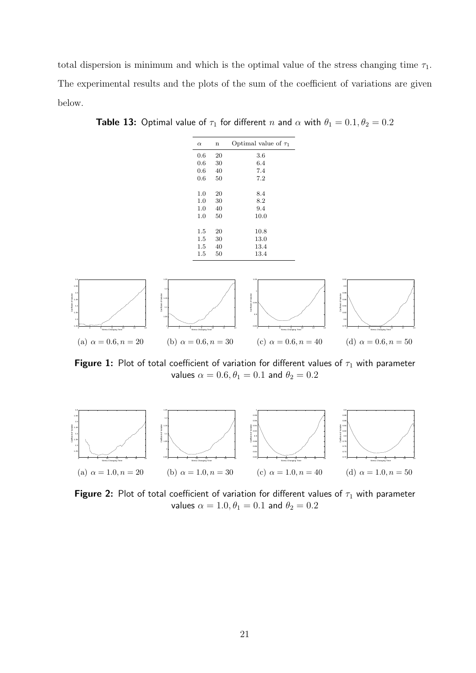total dispersion is minimum and which is the optimal value of the stress changing time  $\tau_1$ . The experimental results and the plots of the sum of the coefficient of variations are given below.

**Table 13:** Optimal value of  $\tau_1$  for different n and  $\alpha$  with  $\theta_1 = 0.1, \theta_2 = 0.2$ 



Figure 1: Plot of total coefficient of variation for different values of  $\tau_1$  with parameter values  $\alpha = 0.6, \theta_1 = 0.1$  and  $\theta_2 = 0.2$ 



Figure 2: Plot of total coefficient of variation for different values of  $\tau_1$  with parameter values  $\alpha = 1.0, \theta_1 = 0.1$  and  $\theta_2 = 0.2$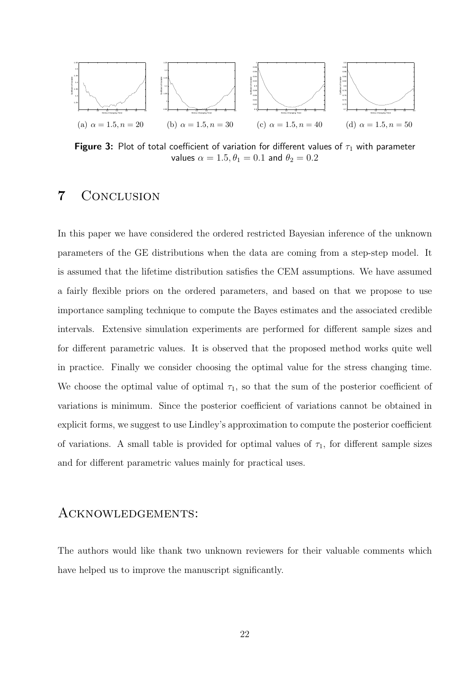

Figure 3: Plot of total coefficient of variation for different values of  $\tau_1$  with parameter values  $\alpha = 1.5, \theta_1 = 0.1$  and  $\theta_2 = 0.2$ 

## 7 Conclusion

In this paper we have considered the ordered restricted Bayesian inference of the unknown parameters of the GE distributions when the data are coming from a step-step model. It is assumed that the lifetime distribution satisfies the CEM assumptions. We have assumed a fairly flexible priors on the ordered parameters, and based on that we propose to use importance sampling technique to compute the Bayes estimates and the associated credible intervals. Extensive simulation experiments are performed for different sample sizes and for different parametric values. It is observed that the proposed method works quite well in practice. Finally we consider choosing the optimal value for the stress changing time. We choose the optimal value of optimal  $\tau_1$ , so that the sum of the posterior coefficient of variations is minimum. Since the posterior coefficient of variations cannot be obtained in explicit forms, we suggest to use Lindley's approximation to compute the posterior coefficient of variations. A small table is provided for optimal values of  $\tau_1$ , for different sample sizes and for different parametric values mainly for practical uses.

#### Acknowledgements:

The authors would like thank two unknown reviewers for their valuable comments which have helped us to improve the manuscript significantly.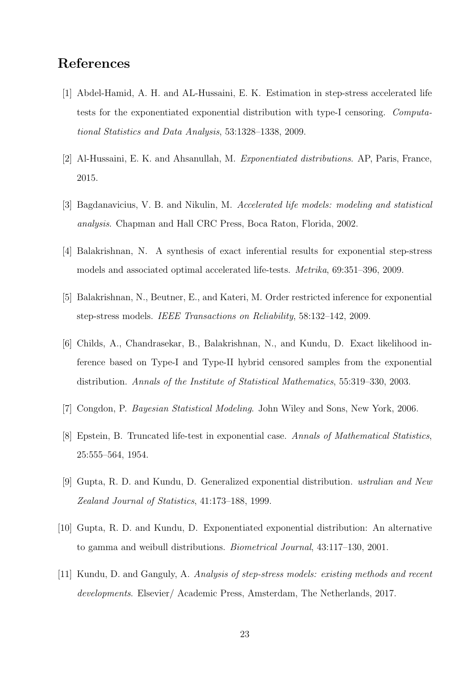## References

- [1] Abdel-Hamid, A. H. and AL-Hussaini, E. K. Estimation in step-stress accelerated life tests for the exponentiated exponential distribution with type-I censoring. Computational Statistics and Data Analysis, 53:1328–1338, 2009.
- [2] Al-Hussaini, E. K. and Ahsanullah, M. Exponentiated distributions. AP, Paris, France, 2015.
- [3] Bagdanavicius, V. B. and Nikulin, M. Accelerated life models: modeling and statistical analysis. Chapman and Hall CRC Press, Boca Raton, Florida, 2002.
- [4] Balakrishnan, N. A synthesis of exact inferential results for exponential step-stress models and associated optimal accelerated life-tests. Metrika, 69:351–396, 2009.
- [5] Balakrishnan, N., Beutner, E., and Kateri, M. Order restricted inference for exponential step-stress models. IEEE Transactions on Reliability, 58:132–142, 2009.
- [6] Childs, A., Chandrasekar, B., Balakrishnan, N., and Kundu, D. Exact likelihood inference based on Type-I and Type-II hybrid censored samples from the exponential distribution. Annals of the Institute of Statistical Mathematics, 55:319–330, 2003.
- [7] Congdon, P. Bayesian Statistical Modeling. John Wiley and Sons, New York, 2006.
- [8] Epstein, B. Truncated life-test in exponential case. Annals of Mathematical Statistics, 25:555–564, 1954.
- [9] Gupta, R. D. and Kundu, D. Generalized exponential distribution. ustralian and New Zealand Journal of Statistics, 41:173–188, 1999.
- [10] Gupta, R. D. and Kundu, D. Exponentiated exponential distribution: An alternative to gamma and weibull distributions. Biometrical Journal, 43:117–130, 2001.
- [11] Kundu, D. and Ganguly, A. Analysis of step-stress models: existing methods and recent developments. Elsevier/ Academic Press, Amsterdam, The Netherlands, 2017.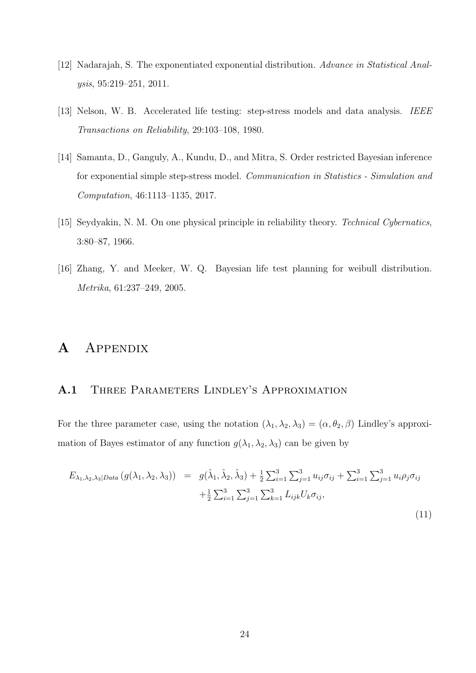- [12] Nadarajah, S. The exponentiated exponential distribution. Advance in Statistical Analysis, 95:219–251, 2011.
- [13] Nelson, W. B. Accelerated life testing: step-stress models and data analysis. IEEE Transactions on Reliability, 29:103–108, 1980.
- [14] Samanta, D., Ganguly, A., Kundu, D., and Mitra, S. Order restricted Bayesian inference for exponential simple step-stress model. Communication in Statistics - Simulation and Computation, 46:1113–1135, 2017.
- [15] Seydyakin, N. M. On one physical principle in reliability theory. Technical Cybernatics, 3:80–87, 1966.
- [16] Zhang, Y. and Meeker, W. Q. Bayesian life test planning for weibull distribution. Metrika, 61:237–249, 2005.

## A Appendix

### A.1 THREE PARAMETERS LINDLEY'S APPROXIMATION

For the three parameter case, using the notation  $(\lambda_1, \lambda_2, \lambda_3) = (\alpha, \theta_2, \beta)$  Lindley's approximation of Bayes estimator of any function  $g(\lambda_1, \lambda_2, \lambda_3)$  can be given by

$$
E_{\lambda_1, \lambda_2, \lambda_3 | Data} (g(\lambda_1, \lambda_2, \lambda_3)) = g(\hat{\lambda}_1, \hat{\lambda}_2, \hat{\lambda}_3) + \frac{1}{2} \sum_{i=1}^3 \sum_{j=1}^3 u_{ij} \sigma_{ij} + \sum_{i=1}^3 \sum_{j=1}^3 u_i \rho_j \sigma_{ij} + \frac{1}{2} \sum_{i=1}^3 \sum_{j=1}^3 \sum_{j=1}^3 \sum_{k=1}^3 L_{ijk} U_k \sigma_{ij},
$$
\n(11)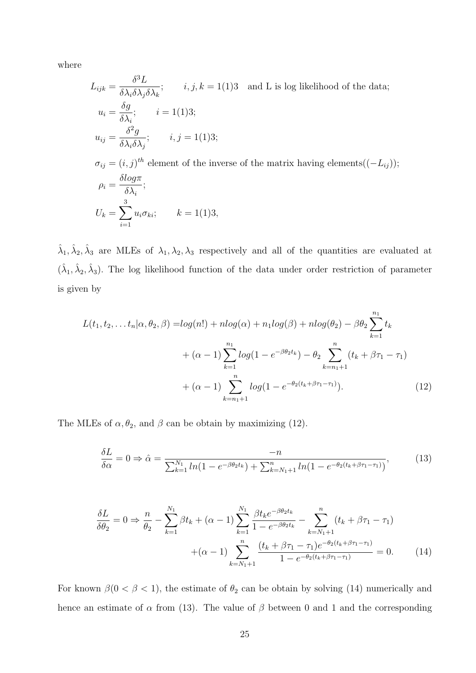where

$$
L_{ijk} = \frac{\delta^3 L}{\delta \lambda_i \delta \lambda_j \delta \lambda_k}; \qquad i, j, k = 1(1)3 \quad \text{and } L \text{ is log likelihood of the data};
$$
  
\n
$$
u_i = \frac{\delta g}{\delta \lambda_i}; \qquad i = 1(1)3;
$$
  
\n
$$
u_{ij} = \frac{\delta^2 g}{\delta \lambda_i \delta \lambda_j}; \qquad i, j = 1(1)3;
$$
  
\n
$$
\sigma_{ij} = (i, j)^{th} \text{ element of the inverse of the matrix having elements}((-L_{ij}));
$$
  
\n
$$
\rho_i = \frac{\delta log \pi}{\delta \lambda_i};
$$
  
\n
$$
U_k = \sum_{i=1}^3 u_i \sigma_{ki}; \qquad k = 1(1)3,
$$

 $\hat{\lambda}_1, \hat{\lambda}_2, \hat{\lambda}_3$  are MLEs of  $\lambda_1, \lambda_2, \lambda_3$  respectively and all of the quantities are evaluated at  $(\hat{\lambda}_1, \hat{\lambda}_2, \hat{\lambda}_3)$ . The log likelihood function of the data under order restriction of parameter is given by

$$
L(t_1, t_2,... t_n | \alpha, \theta_2, \beta) = log(n!) + nlog(\alpha) + n_1 log(\beta) + nlog(\theta_2) - \beta \theta_2 \sum_{k=1}^{n_1} t_k
$$
  
+ (\alpha - 1) \sum\_{k=1}^{n\_1} log(1 - e^{-\beta \theta\_2 t\_k}) - \theta\_2 \sum\_{k=n\_1+1}^{n\_1} (t\_k + \beta \tau\_1 - \tau\_1)  
+ (\alpha - 1) \sum\_{k=n\_1+1}^{n\_1} log(1 - e^{-\theta\_2 (t\_k + \beta \tau\_1 - \tau\_1)}). (12)

The MLEs of  $\alpha, \theta_2$ , and  $\beta$  can be obtain by maximizing (12).

$$
\frac{\delta L}{\delta \alpha} = 0 \Rightarrow \hat{\alpha} = \frac{-n}{\sum_{k=1}^{N_1} \ln(1 - e^{-\beta \theta_2 t_k}) + \sum_{k=N_1+1}^{n} \ln(1 - e^{-\theta_2 (t_k + \beta \tau_1 - \tau_1)})},\tag{13}
$$

$$
\frac{\delta L}{\delta \theta_2} = 0 \Rightarrow \frac{n}{\theta_2} - \sum_{k=1}^{N_1} \beta t_k + (\alpha - 1) \sum_{k=1}^{N_1} \frac{\beta t_k e^{-\beta \theta_2 t_k}}{1 - e^{-\beta \theta_2 t_k}} - \sum_{k=N_1+1}^{n} (t_k + \beta \tau_1 - \tau_1)
$$

$$
+(\alpha - 1) \sum_{k=N_1+1}^{n} \frac{(t_k + \beta \tau_1 - \tau_1) e^{-\theta_2 (t_k + \beta \tau_1 - \tau_1)}}{1 - e^{-\theta_2 (t_k + \beta \tau_1 - \tau_1)}} = 0. \tag{14}
$$

For known  $\beta(0 < \beta < 1)$ , the estimate of  $\theta_2$  can be obtain by solving (14) numerically and hence an estimate of  $\alpha$  from (13). The value of  $\beta$  between 0 and 1 and the corresponding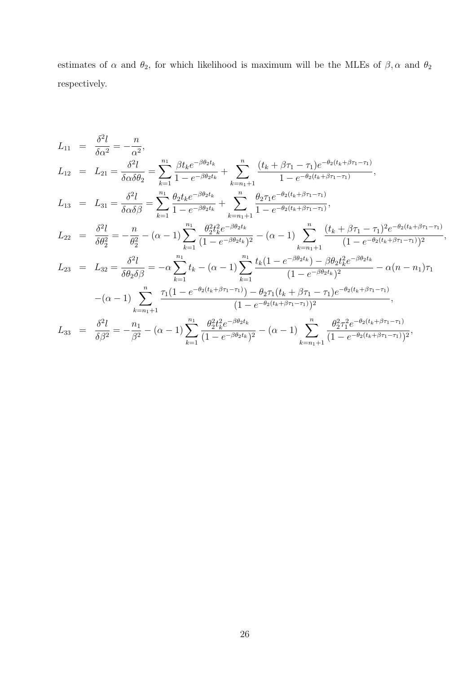estimates of  $\alpha$  and  $\theta_2$ , for which likelihood is maximum will be the MLEs of  $\beta, \alpha$  and  $\theta_2$ respectively.

$$
L_{11} = \frac{\delta^2 l}{\delta \alpha^2} = -\frac{n}{\alpha^2},
$$
  
\n
$$
L_{12} = L_{21} = \frac{\delta^2 l}{\delta \alpha \delta \theta_2} = \sum_{k=1}^{n_1} \frac{\beta t_k e^{-\beta \theta_2 t_k}}{1 - e^{-\beta \theta_2 t_k}} + \sum_{k=n_1+1}^{n} \frac{(t_k + \beta \tau_1 - \tau_1) e^{-\theta_2 (t_k + \beta \tau_1 - \tau_1)}}{1 - e^{-\theta_2 (t_k + \beta \tau_1 - \tau_1)}},
$$
  
\n
$$
L_{13} = L_{31} = \frac{\delta^2 l}{\delta \alpha \delta \beta} = \sum_{k=1}^{n_1} \frac{\theta_2 t_k e^{-\beta \theta_2 t_k}}{1 - e^{-\beta \theta_2 t_k}} + \sum_{k=n_1+1}^{n} \frac{\theta_2 \tau_1 e^{-\theta_2 (t_k + \beta \tau_1 - \tau_1)}}{1 - e^{-\theta_2 (t_k + \beta \tau_1 - \tau_1)}},
$$
  
\n
$$
L_{22} = \frac{\delta^2 l}{\delta \theta_2^2} = -\frac{n}{\theta_2^2} - (\alpha - 1) \sum_{k=1}^{n_1} \frac{\theta_2^2 t_k^2 e^{-\beta \theta_2 t_k}}{(1 - e^{-\beta \theta_2 t_k})^2} - (\alpha - 1) \sum_{k=n_1+1}^{n} \frac{(t_k + \beta \tau_1 - \tau_1)^2 e^{-\theta_2 (t_k + \beta \tau_1 - \tau_1)}}{(1 - e^{-\theta_2 (t_k + \beta \tau_1 - \tau_1)} )^2},
$$
  
\n
$$
L_{23} = L_{32} = \frac{\delta^2 l}{\delta \theta_2 \delta \beta} = -\alpha \sum_{k=1}^{n_1} t_k - (\alpha - 1) \sum_{k=1}^{n_1} \frac{t_k (1 - e^{-\beta \theta_2 t_k}) - \beta \theta_2 t_k^2 e^{-\beta \theta_2 t_k}}{(1 - e^{-\beta \theta_2 t_k})^2} - \alpha (n - n_1) \tau_1
$$
  
\n
$$
- (\alpha - 1) \sum_{k=n_1+1}^{n} \frac{\tau_1 (1 - e^{-\theta_2 (t_k + \
$$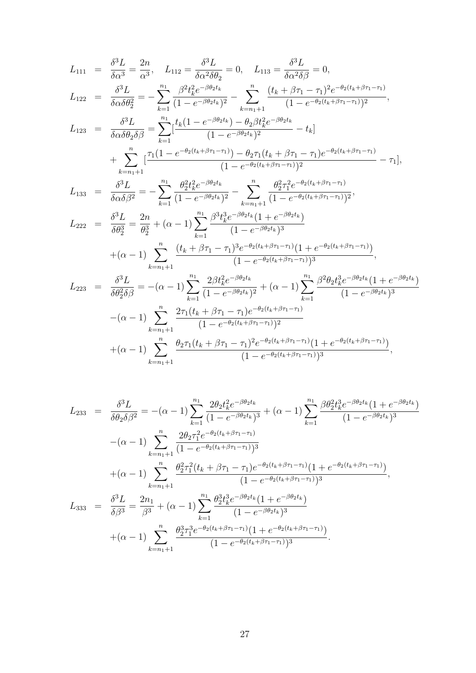$$
L_{111} = \frac{\delta^3 L}{\delta \alpha^3} = \frac{2n}{\alpha^3}, \quad L_{112} = \frac{\delta^3 L}{\delta \alpha^2 \delta \theta_2} = 0, \quad L_{113} = \frac{\delta^3 L}{\delta \alpha^2 \delta \beta} = 0,
$$
  
\n
$$
L_{122} = \frac{\delta^3 L}{\delta \alpha \delta \theta_2^2} = -\sum_{k=1}^{n_1} \frac{\beta^2 t_k^2 e^{-\beta \theta_2 t_k}}{(1 - e^{-\beta \theta_2 t_k})^2} - \sum_{k=n_1+1}^{n_1} \frac{(t_k + \beta \tau_1 - \tau_1)^2 e^{-\theta_2 (t_k + \beta \tau_1 - \tau_1)}}{(1 - e^{-\theta_2 (t_k + \beta \tau_1 - \tau_1)})^2},
$$
  
\n
$$
L_{123} = \frac{\delta^3 L}{\delta \alpha \delta \theta_2 \delta \beta} = \sum_{k=1}^{n_1} \frac{t_k (1 - e^{-\beta \theta_2 t_k}) - \theta_2 \beta t_k^2 e^{-\beta \theta_2 t_k}}{(1 - e^{-\beta \theta_2 t_k})^2} - t_k]
$$
  
\n
$$
+ \sum_{k=n_1+1}^{n_1} \frac{\tau_1 (1 - e^{-\theta_2 (t_k + \beta \tau_1 - \tau_1)}) - \theta_2 \tau_1 (t_k + \beta \tau_1 - \tau_1) e^{-\theta_2 (t_k + \beta \tau_1 - \tau_1)}}{(1 - e^{-\theta_2 (t_k + \beta \tau_1 - \tau_1)})^2} - \tau_1],
$$
  
\n
$$
L_{133} = \frac{\delta^3 L}{\delta \alpha \delta \beta^2} = -\sum_{k=1}^{n_1} \frac{\theta_2^2 t_k^2 e^{-\beta \theta_2 t_k}}{(1 - e^{-\beta \theta_2 t_k})^2} - \sum_{k=n_1+1}^{n_1} \frac{\theta_2^2 \tau_1^2 e^{-\theta_2 (t_k + \beta \tau_1 - \tau_1)}}{(1 - e^{-\theta_2 (t_k + \beta \tau_1 - \tau_1)})^2},
$$
  
\n
$$
L_{222} = \frac{\delta^3 L}{\delta \theta_2^3} = \frac{2n}{\theta_2^3} + (\alpha -
$$

$$
L_{233} = \frac{\delta^3 L}{\delta \theta_2 \delta \beta^2} = -(\alpha - 1) \sum_{k=1}^{n_1} \frac{2 \theta_2 t_k^2 e^{-\beta \theta_2 t_k}}{(1 - e^{-\beta \theta_2 t_k})^3} + (\alpha - 1) \sum_{k=1}^{n_1} \frac{\beta \theta_2^2 t_k^3 e^{-\beta \theta_2 t_k} (1 + e^{-\beta \theta_2 t_k})}{(1 - e^{-\beta \theta_2 t_k})^3}
$$

$$
-(\alpha - 1) \sum_{k=n_1+1}^{n} \frac{2 \theta_2 \tau_1^2 e^{-\theta_2 (t_k + \beta \tau_1 - \tau_1)}}{(1 - e^{-\theta_2 (t_k + \beta \tau_1 - \tau_1)})^3}
$$

$$
+(\alpha - 1) \sum_{k=n_1+1}^{n} \frac{\theta_2^2 \tau_1^2 (t_k + \beta \tau_1 - \tau_1) e^{-\theta_2 (t_k + \beta \tau_1 - \tau_1)}}{(1 - e^{-\theta_2 (t_k + \beta \tau_1 - \tau_1)})^3},
$$

$$
L_{333} = \frac{\delta^3 L}{\delta \beta^3} = \frac{2n_1}{\beta^3} + (\alpha - 1) \sum_{k=1}^{n_1} \frac{\theta_2^3 t_k^3 e^{-\beta \theta_2 t_k} (1 + e^{-\beta \theta_2 t_k})}{(1 - e^{-\beta \theta_2 t_k})^3}
$$

$$
+(\alpha - 1) \sum_{k=n_1+1}^{n} \frac{\theta_2^3 \tau_1^3 e^{-\theta_2 (t_k + \beta \tau_1 - \tau_1)} (1 + e^{-\theta_2 (t_k + \beta \tau_1 - \tau_1)})}{(1 - e^{-\theta_2 (t_k + \beta \tau_1 - \tau_1)})^3}.
$$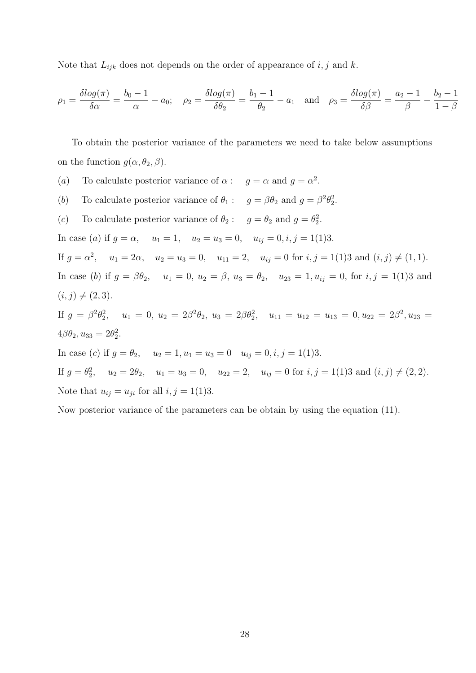Note that  $L_{ijk}$  does not depends on the order of appearance of i, j and k.

$$
\rho_1 = \frac{\delta \log(\pi)}{\delta \alpha} = \frac{b_0 - 1}{\alpha} - a_0; \quad \rho_2 = \frac{\delta \log(\pi)}{\delta \theta_2} = \frac{b_1 - 1}{\theta_2} - a_1 \quad \text{and} \quad \rho_3 = \frac{\delta \log(\pi)}{\delta \beta} = \frac{a_2 - 1}{\beta} - \frac{b_2 - 1}{1 - \beta}
$$

To obtain the posterior variance of the parameters we need to take below assumptions on the function  $g(\alpha, \theta_2, \beta)$ .

(a) To calculate posterior variance of  $\alpha: g = \alpha$  and  $g = \alpha^2$ . (b) To calculate posterior variance of  $\theta_1: g = \beta \theta_2$  and  $g = \beta^2 \theta_2^2$ . (c) To calculate posterior variance of  $\theta_2: g = \theta_2$  and  $g = \theta_2^2$ . In case (a) if  $g = \alpha$ ,  $u_1 = 1$ ,  $u_2 = u_3 = 0$ ,  $u_{ij} = 0$ ,  $i, j = 1(1)3$ . If  $g = \alpha^2$ ,  $u_1 = 2\alpha$ ,  $u_2 = u_3 = 0$ ,  $u_{11} = 2$ ,  $u_{ij} = 0$  for  $i, j = 1(1)3$  and  $(i, j) \neq (1, 1)$ . In case (b) if  $g = \beta \theta_2$ ,  $u_1 = 0$ ,  $u_2 = \beta$ ,  $u_3 = \theta_2$ ,  $u_{23} = 1$ ,  $u_{ij} = 0$ , for  $i, j = 1(1)3$  and  $(i, j) \neq (2, 3).$ If  $g = \beta^2 \theta_2^2$ ,  $u_1 = 0$ ,  $u_2 = 2\beta^2 \theta_2$ ,  $u_3 = 2\beta \theta_2^2$ ,  $u_{11} = u_{12} = u_{13} = 0$ ,  $u_{22} = 2\beta^2$ ,  $u_{23} =$  $4\beta\theta_2, u_{33} = 2\theta_2^2.$ In case (c) if  $g = \theta_2$ ,  $u_2 = 1$ ,  $u_1 = u_3 = 0$   $u_{ij} = 0$ ,  $i, j = 1(1)3$ . If  $g = \theta_2^2$ ,  $u_2 = 2\theta_2$ ,  $u_1 = u_3 = 0$ ,  $u_{22} = 2$ ,  $u_{ij} = 0$  for  $i, j = 1(1)3$  and  $(i, j) \neq (2, 2)$ . Note that  $u_{ij} = u_{ji}$  for all  $i, j = 1(1)3$ .

Now posterior variance of the parameters can be obtain by using the equation (11).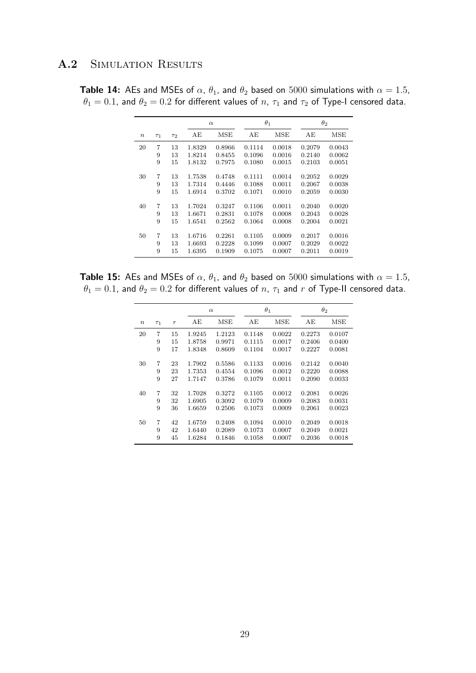#### A.2 SIMULATION RESULTS

**Table 14:** AEs and MSEs of  $\alpha$ ,  $\theta_1$ , and  $\theta_2$  based on 5000 simulations with  $\alpha = 1.5$ ,  $\theta_1 = 0.1$ , and  $\theta_2 = 0.2$  for different values of  $n$ ,  $\tau_1$  and  $\tau_2$  of Type-I censored data.

|       |          |          |        | $\alpha$ |        | $\theta_1$ |        | $\theta_2$ |
|-------|----------|----------|--------|----------|--------|------------|--------|------------|
| $\,n$ | $\tau_1$ | $\tau_2$ | AЕ     | MSE      | AЕ     | MSE        | AЕ     | MSE        |
| 20    | 7        | 13       | 1.8329 | 0.8966   | 0.1114 | 0.0018     | 0.2079 | 0.0043     |
|       | 9        | 13       | 1.8214 | 0.8455   | 0.1096 | 0.0016     | 0.2140 | 0.0062     |
|       | 9        | 15       | 1.8132 | 0.7975   | 0.1080 | 0.0015     | 0.2103 | 0.0051     |
| 30    | 7        | 13       | 1.7538 | 0.4748   | 0.1111 | 0.0014     | 0.2052 | 0.0029     |
|       | 9        | 13       | 1.7314 | 0.4446   | 0.1088 | 0.0011     | 0.2067 | 0.0038     |
|       | 9        | 15       | 1.6914 | 0.3702   | 0.1071 | 0.0010     | 0.2059 | 0.0030     |
| 40    | 7        | 13       | 1.7024 | 0.3247   | 0.1106 | 0.0011     | 0.2040 | 0.0020     |
|       | 9        | 13       | 1.6671 | 0.2831   | 0.1078 | 0.0008     | 0.2043 | 0.0028     |
|       | 9        | 15       | 1.6541 | 0.2562   | 0.1064 | 0.0008     | 0.2004 | 0.0021     |
| 50    | 7        | 13       | 1.6716 | 0.2261   | 0.1105 | 0.0009     | 0.2017 | 0.0016     |
|       | 9        | 13       | 1.6693 | 0.2228   | 0.1099 | 0.0007     | 0.2029 | 0.0022     |
|       | 9        | 15       | 1.6395 | 0.1909   | 0.1075 | 0.0007     | 0.2011 | 0.0019     |

**Table 15:** AEs and MSEs of  $\alpha$ ,  $\theta_1$ , and  $\theta_2$  based on 5000 simulations with  $\alpha = 1.5$ ,  $\theta_1 = 0.1$ , and  $\theta_2 = 0.2$  for different values of  $n$ ,  $\tau_1$  and  $r$  of Type-II censored data.

|                  |          |                |        | $\alpha$ | $\theta_1$ |            |        | $\theta_2$ |
|------------------|----------|----------------|--------|----------|------------|------------|--------|------------|
| $\boldsymbol{n}$ | $\tau_1$ | $\overline{r}$ | AЕ     | MSE      | ΑE         | <b>MSE</b> | AE     | MSE        |
| 20               | 7        | 15             | 1.9245 | 1.2123   | 0.1148     | 0.0022     | 0.2273 | 0.0107     |
|                  | 9        | 15             | 1.8758 | 0.9971   | 0.1115     | 0.0017     | 0.2406 | 0.0400     |
|                  | 9        | 17             | 1.8348 | 0.8609   | 0.1104     | 0.0017     | 0.2227 | 0.0081     |
| 30               | 7        | 23             | 1.7902 | 0.5586   | 0.1133     | 0.0016     | 0.2142 | 0.0040     |
|                  | 9        | 23             | 1.7353 | 0.4554   | 0.1096     | 0.0012     | 0.2220 | 0.0088     |
|                  | 9        | 27             | 1.7147 | 0.3786   | 0.1079     | 0.0011     | 0.2090 | 0.0033     |
| 40               | 7        | 32             | 1.7028 | 0.3272   | 0.1105     | 0.0012     | 0.2081 | 0.0026     |
|                  | 9        | 32             | 1.6905 | 0.3092   | 0.1079     | 0.0009     | 0.2083 | 0.0031     |
|                  | 9        | 36             | 1.6659 | 0.2506   | 0.1073     | 0.0009     | 0.2061 | 0.0023     |
| 50               | 7        | 42             | 1.6759 | 0.2408   | 0.1094     | 0.0010     | 0.2049 | 0.0018     |
|                  | 9        | 42             | 1.6440 | 0.2089   | 0.1073     | 0.0007     | 0.2049 | 0.0021     |
|                  | 9        | 45             | 1.6284 | 0.1846   | 0.1058     | 0.0007     | 0.2036 | 0.0018     |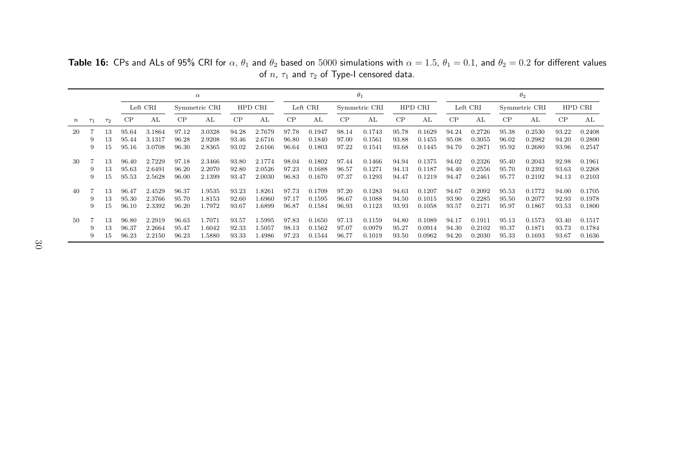|        |          |          | $\alpha$ |          |       |               |       |         |       |          |       | $\theta_1$    |       |         | $\theta_2$ |          |       |               |       |         |
|--------|----------|----------|----------|----------|-------|---------------|-------|---------|-------|----------|-------|---------------|-------|---------|------------|----------|-------|---------------|-------|---------|
|        |          |          |          | Left CRI |       | Symmetric CRI |       | HPD CRI |       | Left CRI |       | Symmetric CRI |       | HPD CRI |            | Left CRI |       | Symmetric CRI |       | HPD CRI |
| $\, n$ | $\tau_1$ | $\tau_2$ | CP       | AL       | CP    | AL            | CP    | AL      | CP    | AL       | CP    | AL            | CP    | AL      | CP         | AL       | CP    | AL.           | CP    | AL      |
| 20     |          | 13       | 95.64    | 3.1864   | 97.12 | 3.0328        | 94.28 | 2.7679  | 97.78 | 0.1947   | 98.14 | 0.1743        | 95.78 | 0.1629  | 94.24      | 0.2726   | 95.38 | 0.2530        | 93.22 | 0.2408  |
|        | 9        | 13       | 95.44    | 3.1317   | 96.28 | 2.9208        | 93.46 | 2.6716  | 96.80 | 0.1840   | 97.00 | 0.1561        | 93.88 | 0.1455  | 95.08      | 0.3055   | 96.02 | 0.2982        | 94.20 | 0.2800  |
|        | 9        | 15       | 95.16    | 3.0708   | 96.30 | 2.8365        | 93.02 | 2.6166  | 96.64 | 0.1803   | 97.22 | 0.1541        | 93.68 | 0.1445  | 94.70      | 0.2871   | 95.92 | 0.2680        | 93.96 | 0.2547  |
|        |          |          |          |          |       |               |       |         |       |          |       |               |       |         |            |          |       |               |       |         |
| -30    |          | 13       | 96.40    | 2.7229   | 97.18 | 2.3466        | 93.80 | 2.1774  | 98.04 | 0.1802   | 97.44 | 0.1466        | 94.94 | 0.1375  | 94.02      | 0.2326   | 95.40 | 0.2043        | 92.98 | 0.1961  |
|        |          | 13       | 95.63    | 2.6491   | 96.20 | 2.2070        | 92.80 | 2.0526  | 97.23 | 0.1688   | 96.57 | 0.1271        | 94.13 | 0.1187  | 94.40      | 0.2556   | 95.70 | 0.2392        | 93.63 | 0.2268  |
|        | 9        | 15       | 95.53    | 2.5628   | 96.00 | 2.1399        | 93.47 | 2.0030  | 96.83 | 0.1670   | 97.37 | 0.1293        | 94.47 | 0.1219  | 94.47      | 0.2461   | 95.77 | 0.2192        | 94.13 | 0.2103  |
|        |          |          |          |          |       |               |       |         |       |          |       |               |       |         |            |          |       |               |       |         |
| 40     |          | 13       | 96.47    | 2.4529   | 96.37 | 1.9535        | 93.23 | .8261   | 97.73 | 0.1709   | 97.20 | 0.1283        | 94.63 | 0.1207  | 94.67      | 0.2092   | 95.53 | 0.1772        | 94.00 | 0.1705  |
|        |          | 13       | 95.30    | 2.3766   | 95.70 | 1.8153        | 92.60 | .6960   | 97.17 | 0.1595   | 96.67 | 0.1088        | 94.50 | 0.1015  | 93.90      | 0.2285   | 95.50 | 0.2077        | 92.93 | 0.1978  |
|        | 9        | 15       | 96.10    | 2.3392   | 96.20 | 1.7972        | 93.67 | .6899   | 96.87 | 0.1584   | 96.93 | 0.1123        | 93.93 | 0.1058  | 93.57      | 0.2171   | 95.97 | 0.1867        | 93.53 | 0.1800  |
|        |          |          |          |          |       |               |       |         |       |          |       |               |       |         |            |          |       |               |       |         |
| 50     |          | 13       | 96.80    | 2.2919   | 96.63 | 1.7071        | 93.57 | .5995   | 97.83 | 0.1650   | 97.13 | 0.1159        | 94.80 | 0.1089  | 94.17      | 0.1911   | 95.13 | 0.1573        | 93.40 | 0.1517  |
|        | 9        | 13       | 96.37    | 2.2664   | 95.47 | 1.6042        | 92.33 | .5057   | 98.13 | 0.1562   | 97.07 | 0.0979        | 95.27 | 0.0914  | 94.30      | 0.2102   | 95.37 | 0.1871        | 93.73 | 0.1784  |
|        | 9        | 15       | 96.23    | 2.2150   | 96.23 | 1.5880        | 93.33 | .4986   | 97.23 | 0.1544   | 96.77 | 0.1019        | 93.50 | 0.0962  | 94.20      | 0.2030   | 95.33 | 0.1693        | 93.67 | 0.1636  |

**Table 16:** CPs and ALs of 95% CRI for  $\alpha$ ,  $\theta_1$  and  $\theta_2$  based on  $5000$  simulations with  $\alpha = 1.5$ ,  $\theta_1 = 0.1$ , and  $\theta_2 = 0.2$  for different values of  $n$ ,  $\tau_1$  and  $\tau_2$  of Type-I censored data.